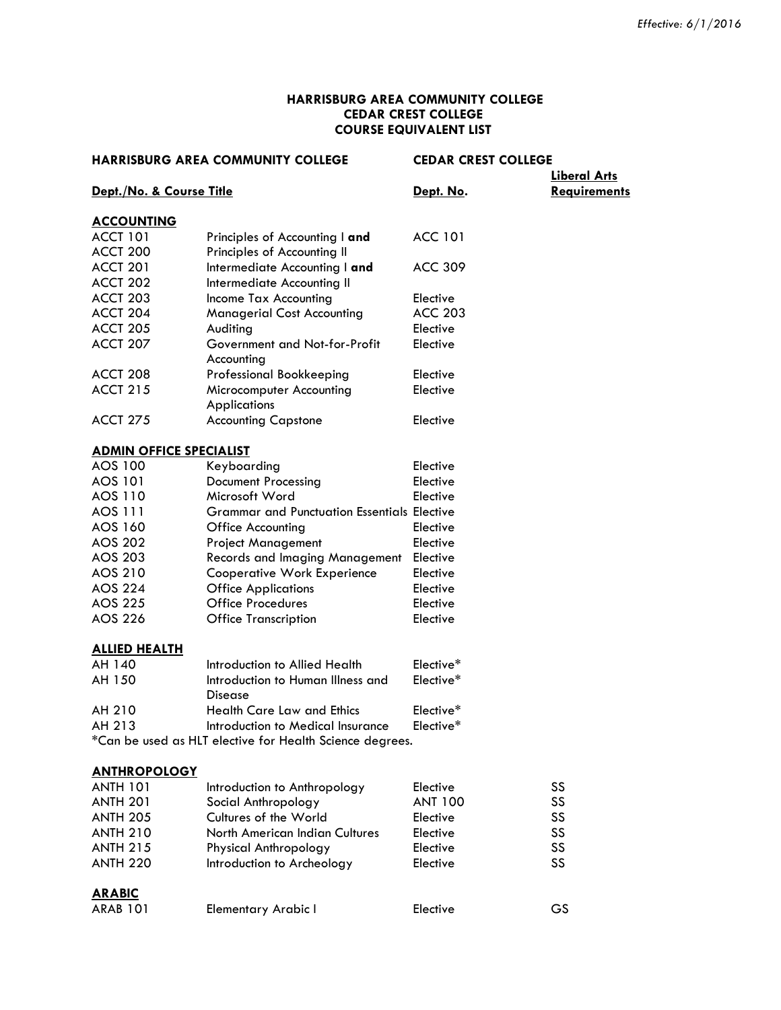#### **HARRISBURG AREA COMMUNITY COLLEGE CEDAR CREST COLLEGE COURSE EQUIVALENT LIST**

|                                | <b>HARRISBURG AREA COMMUNITY COLLEGE</b>                 | <b>CEDAR CREST COLLEGE</b> | <b>Liberal Arts</b> |
|--------------------------------|----------------------------------------------------------|----------------------------|---------------------|
| Dept./No. & Course Title       |                                                          | Dept. No.                  | <b>Requirements</b> |
| <b>ACCOUNTING</b>              |                                                          |                            |                     |
| <b>ACCT 101</b>                | Principles of Accounting I and                           | <b>ACC 101</b>             |                     |
| ACCT 200                       | Principles of Accounting II                              |                            |                     |
| <b>ACCT 201</b>                | Intermediate Accounting I and                            | <b>ACC 309</b>             |                     |
| ACCT 202                       | Intermediate Accounting II                               |                            |                     |
| ACCT 203                       | Income Tax Accounting                                    | Elective                   |                     |
| ACCT 204                       | <b>Managerial Cost Accounting</b>                        | <b>ACC 203</b>             |                     |
| ACCT 205                       | Auditing                                                 | Elective                   |                     |
| ACCT 207                       | Government and Not-for-Profit<br>Accounting              | Elective                   |                     |
| <b>ACCT 208</b>                | Professional Bookkeeping                                 | Elective                   |                     |
| <b>ACCT 215</b>                | Microcomputer Accounting<br><b>Applications</b>          | Elective                   |                     |
| <b>ACCT 275</b>                | <b>Accounting Capstone</b>                               | Elective                   |                     |
| <b>ADMIN OFFICE SPECIALIST</b> |                                                          |                            |                     |
| <b>AOS 100</b>                 | Keyboarding                                              | Elective                   |                     |
| AOS 101                        | <b>Document Processing</b>                               | Elective                   |                     |
| AOS 110                        | Microsoft Word                                           | Elective                   |                     |
| AOS 111                        | <b>Grammar and Punctuation Essentials Elective</b>       |                            |                     |
| AOS 160                        | Office Accounting                                        | Elective                   |                     |
| <b>AOS 202</b>                 | <b>Project Management</b>                                | Elective                   |                     |
| AOS 203                        | <b>Records and Imaging Management</b>                    | Elective                   |                     |
| AOS 210                        | <b>Cooperative Work Experience</b>                       | Elective                   |                     |
| <b>AOS 224</b>                 | <b>Office Applications</b>                               | Elective                   |                     |
| <b>AOS 225</b>                 | <b>Office Procedures</b>                                 | Elective                   |                     |
| AOS 226                        | <b>Office Transcription</b>                              | Elective                   |                     |
| <b>ALLIED HEALTH</b>           |                                                          |                            |                     |
| AH 140                         | Introduction to Allied Health                            | Elective*                  |                     |
| AH 150                         | Introduction to Human Illness and<br>Disease             | Elective*                  |                     |
| AH 210                         | <b>Health Care Law and Ethics</b>                        | Elective*                  |                     |
| AH 213                         | Introduction to Medical Insurance                        | Elective*                  |                     |
|                                | *Can be used as HLT elective for Health Science degrees. |                            |                     |
| <b>ANTHROPOLOGY</b>            |                                                          |                            |                     |
| <b>ANTH 101</b>                | Introduction to Anthropology                             | Elective                   | SS                  |
| <b>ANTH 201</b>                | Social Anthropology                                      | <b>ANT 100</b>             | SS                  |
| <b>ANTH 205</b>                | Cultures of the World                                    | Elective                   | SS                  |
| <b>ANTH 210</b>                | North American Indian Cultures                           | Elective                   | SS                  |
| <b>ANTH 215</b>                | Physical Anthropology                                    | Elective                   | SS                  |
| <b>ANTH 220</b>                | Introduction to Archeology                               | Elective                   | SS                  |
| <b>ARABIC</b>                  |                                                          |                            |                     |
| <b>ARAB 101</b>                | <b>Elementary Arabic I</b>                               | Elective                   | GS                  |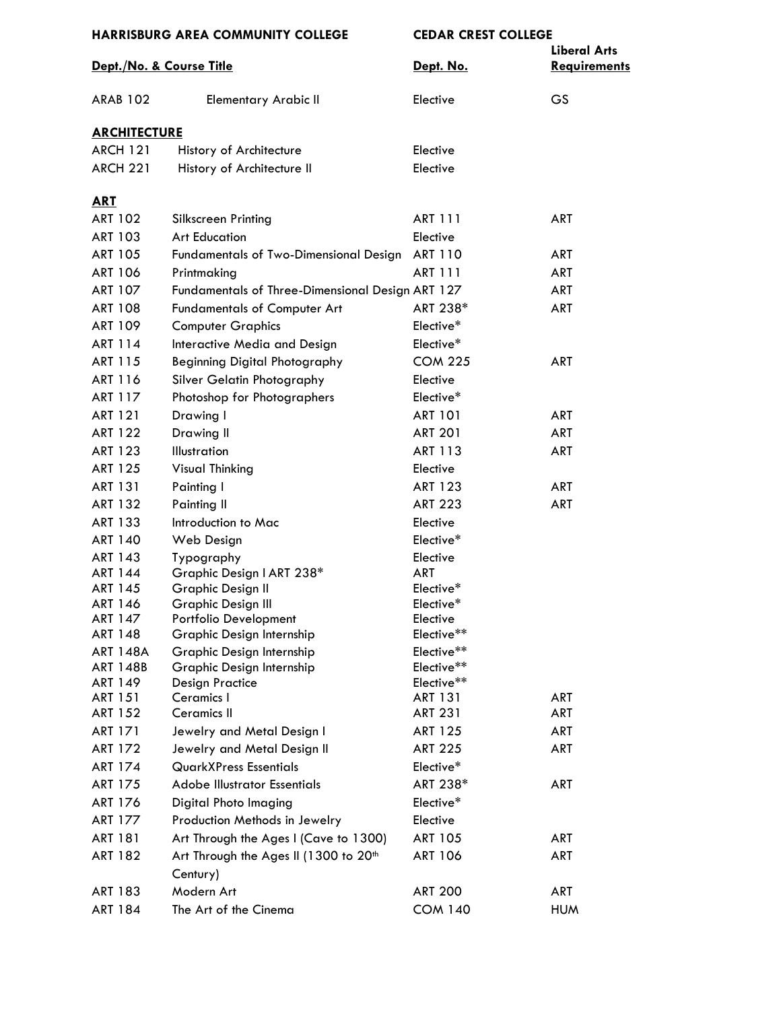| <b>HARRISBURG AREA COMMUNITY COLLEGE</b> |                                                               | <b>CEDAR CREST COLLEGE</b> |                                            |
|------------------------------------------|---------------------------------------------------------------|----------------------------|--------------------------------------------|
| Dept./No. & Course Title                 |                                                               | Dept. No.                  | <b>Liberal Arts</b><br><b>Requirements</b> |
| <b>ARAB 102</b>                          | <b>Elementary Arabic II</b>                                   | Elective                   | <b>GS</b>                                  |
| <b>ARCHITECTURE</b>                      |                                                               |                            |                                            |
| <b>ARCH 121</b>                          | History of Architecture                                       | Elective                   |                                            |
| <b>ARCH 221</b>                          | History of Architecture II                                    | Elective                   |                                            |
| <u>ART</u>                               |                                                               |                            |                                            |
| <b>ART 102</b>                           | Silkscreen Printing                                           | <b>ART 111</b>             | <b>ART</b>                                 |
| ART 103                                  | <b>Art Education</b>                                          | Elective                   |                                            |
| <b>ART 105</b>                           | <b>Fundamentals of Two-Dimensional Design</b>                 | <b>ART 110</b>             | <b>ART</b>                                 |
| <b>ART 106</b>                           | Printmaking                                                   | <b>ART 111</b>             | ART                                        |
| <b>ART 107</b>                           | Fundamentals of Three-Dimensional Design ART 127              |                            | ART                                        |
| <b>ART 108</b>                           | <b>Fundamentals of Computer Art</b>                           | ART 238*                   | ART                                        |
| <b>ART 109</b>                           | <b>Computer Graphics</b>                                      | Elective*                  |                                            |
| ART 114                                  | Interactive Media and Design                                  | Elective*                  |                                            |
| ART 115                                  | Beginning Digital Photography                                 | <b>COM 225</b>             | <b>ART</b>                                 |
| ART 116                                  | Silver Gelatin Photography                                    | Elective                   |                                            |
| <b>ART 117</b>                           | Photoshop for Photographers                                   | Elective*                  |                                            |
| <b>ART 121</b>                           | Drawing I                                                     | <b>ART 101</b>             | ART                                        |
| <b>ART 122</b>                           | Drawing II                                                    | <b>ART 201</b>             | ART                                        |
| <b>ART 123</b>                           | Illustration                                                  | ART 113                    | <b>ART</b>                                 |
| <b>ART 125</b>                           | Visual Thinking                                               | Elective                   |                                            |
| <b>ART 131</b>                           | Painting I                                                    | <b>ART 123</b>             | ART                                        |
| <b>ART 132</b>                           | Painting II                                                   | <b>ART 223</b>             | <b>ART</b>                                 |
| ART 133                                  | Introduction to Mac                                           | Elective                   |                                            |
| <b>ART 140</b>                           | Web Design                                                    | Elective*                  |                                            |
| <b>ART 143</b>                           | Typography                                                    | Elective                   |                                            |
| <b>ART 144</b>                           | Graphic Design I ART 238*                                     | <b>ART</b>                 |                                            |
| <b>ART 145</b>                           | Graphic Design II                                             | Elective*                  |                                            |
| <b>ART 146</b><br>ART 147                | Graphic Design III<br>Portfolio Development                   | Elective*<br>Elective      |                                            |
| <b>ART 148</b>                           | Graphic Design Internship                                     | Elective**                 |                                            |
| <b>ART 148A</b>                          | Graphic Design Internship                                     | Elective**                 |                                            |
| ART 148B                                 | Graphic Design Internship                                     | Elective**                 |                                            |
| ART 149                                  | <b>Design Practice</b>                                        | Elective**                 |                                            |
| <b>ART 151</b>                           | Ceramics I                                                    | <b>ART 131</b>             | <b>ART</b>                                 |
| <b>ART 152</b>                           | <b>Ceramics II</b>                                            | ART 231                    | ART                                        |
| <b>ART 171</b>                           | Jewelry and Metal Design I                                    | <b>ART 125</b>             | ART                                        |
| <b>ART 172</b>                           | Jewelry and Metal Design II                                   | <b>ART 225</b>             | ART                                        |
| <b>ART 174</b>                           | <b>QuarkXPress Essentials</b>                                 | Elective*                  |                                            |
| <b>ART 175</b>                           | <b>Adobe Illustrator Essentials</b>                           | ART 238*                   | ART                                        |
| <b>ART 176</b>                           | Digital Photo Imaging                                         | Elective*                  |                                            |
| ART 177                                  | Production Methods in Jewelry                                 | Elective                   |                                            |
| <b>ART 181</b>                           | Art Through the Ages I (Cave to 1300)                         | <b>ART 105</b>             | ART                                        |
| <b>ART 182</b>                           | Art Through the Ages II (1300 to 20 <sup>th</sup><br>Century) | <b>ART 106</b>             | ART                                        |
| ART 183                                  | Modern Art                                                    | <b>ART 200</b>             | ART                                        |
| <b>ART 184</b>                           | The Art of the Cinema                                         | <b>COM 140</b>             | <b>HUM</b>                                 |
|                                          |                                                               |                            |                                            |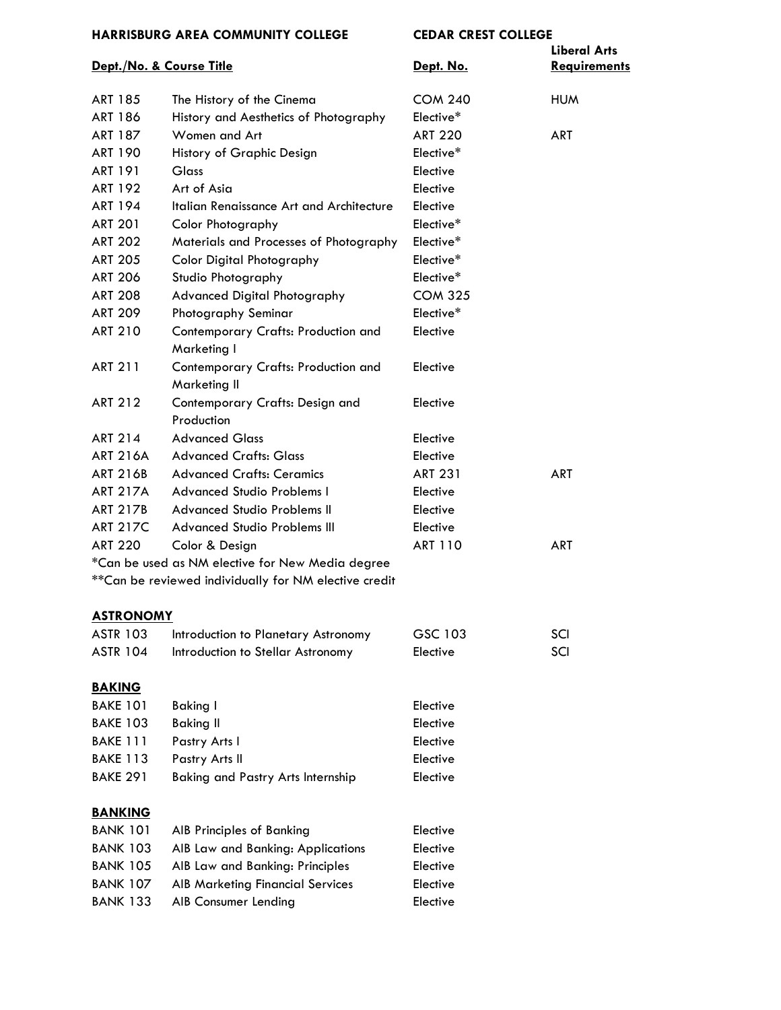| Dept./No. & Course Title |                                                        | Dept. No.      | <b>Liberal Arts</b><br>Requirements |
|--------------------------|--------------------------------------------------------|----------------|-------------------------------------|
| <b>ART 185</b>           | The History of the Cinema                              | <b>COM 240</b> | <b>HUM</b>                          |
| <b>ART 186</b>           | History and Aesthetics of Photography                  | Elective*      |                                     |
| <b>ART 187</b>           | Women and Art                                          | <b>ART 220</b> | <b>ART</b>                          |
| <b>ART 190</b>           | History of Graphic Design                              | Elective*      |                                     |
| <b>ART 191</b>           | Glass                                                  | Elective       |                                     |
| <b>ART 192</b>           | Art of Asia                                            | Elective       |                                     |
| <b>ART 194</b>           | Italian Renaissance Art and Architecture               | Elective       |                                     |
| <b>ART 201</b>           | <b>Color Photography</b>                               | Elective*      |                                     |
| <b>ART 202</b>           | Materials and Processes of Photography                 | Elective*      |                                     |
| <b>ART 205</b>           | <b>Color Digital Photography</b>                       | Elective*      |                                     |
| <b>ART 206</b>           | Studio Photography                                     | Elective*      |                                     |
| <b>ART 208</b>           | <b>Advanced Digital Photography</b>                    | <b>COM 325</b> |                                     |
| <b>ART 209</b>           | Photography Seminar                                    | Elective*      |                                     |
| <b>ART 210</b>           | Contemporary Crafts: Production and<br>Marketing I     | Elective       |                                     |
| <b>ART 211</b>           | Contemporary Crafts: Production and<br>Marketing II    | Elective       |                                     |
| <b>ART 212</b>           | Contemporary Crafts: Design and<br>Production          | Elective       |                                     |
| <b>ART 214</b>           | <b>Advanced Glass</b>                                  | Elective       |                                     |
| <b>ART 216A</b>          | <b>Advanced Crafts: Glass</b>                          | Elective       |                                     |
| <b>ART 216B</b>          | <b>Advanced Crafts: Ceramics</b>                       | <b>ART 231</b> | <b>ART</b>                          |
| <b>ART 217A</b>          | <b>Advanced Studio Problems I</b>                      | Elective       |                                     |
| <b>ART 217B</b>          | <b>Advanced Studio Problems II</b>                     | Elective       |                                     |
| <b>ART 217C</b>          | <b>Advanced Studio Problems III</b>                    | Elective       |                                     |
| <b>ART 220</b>           | Color & Design                                         | <b>ART 110</b> | <b>ART</b>                          |
|                          | *Can be used as NM elective for New Media degree       |                |                                     |
|                          | ** Can be reviewed individually for NM elective credit |                |                                     |
| <b>ASTRONOMY</b>         |                                                        |                |                                     |
| <b>ASTR 103</b>          | Introduction to Planetary Astronomy                    | GSC 103        | SCI                                 |
| <b>ASTR 104</b>          | Introduction to Stellar Astronomy                      | Elective       | SCI                                 |
| <b>BAKING</b>            |                                                        |                |                                     |
| <b>BAKE 101</b>          | <b>Baking I</b>                                        | Elective       |                                     |
| <b>BAKE 103</b>          | <b>Baking II</b>                                       | Elective       |                                     |
| <b>BAKE 111</b>          | Pastry Arts I                                          | Elective       |                                     |
| <b>BAKE 113</b>          | Pastry Arts II                                         | Elective       |                                     |
| <b>BAKE 291</b>          | <b>Baking and Pastry Arts Internship</b>               | Elective       |                                     |
| <b>BANKING</b>           |                                                        |                |                                     |
| <b>BANK 101</b>          | AIB Principles of Banking                              | Elective       |                                     |
| <b>BANK 103</b>          | AIB Law and Banking: Applications                      | Elective       |                                     |
| <b>BANK 105</b>          | AIB Law and Banking: Principles                        | Elective       |                                     |
| <b>BANK 107</b>          | <b>AIB Marketing Financial Services</b>                | Elective       |                                     |
| <b>BANK 133</b>          | AIB Consumer Lending                                   | Elective       |                                     |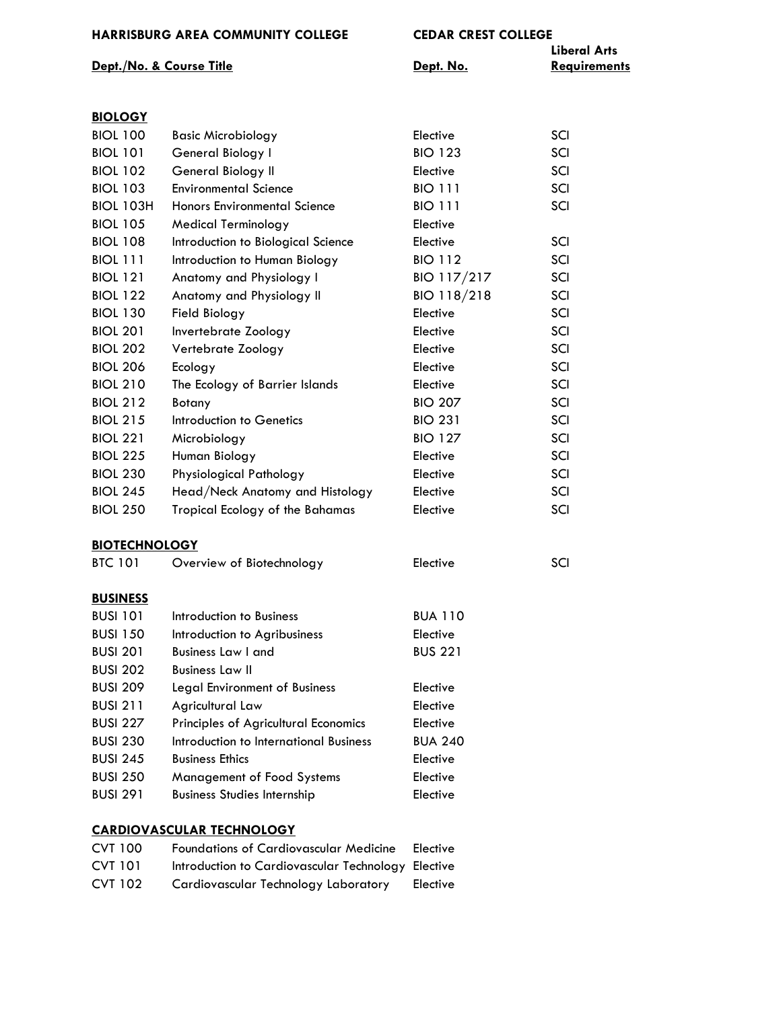|                          | . . <i>. .</i> |                     |
|--------------------------|----------------|---------------------|
|                          |                | Liberal Arts        |
| Dept./No. & Course Title | Dept. No.      | <b>Requirements</b> |

| <b>BIOLOGY</b>   |                                    |                |     |
|------------------|------------------------------------|----------------|-----|
| <b>BIOL 100</b>  | <b>Basic Microbiology</b>          | Elective       | SCI |
| <b>BIOL 101</b>  | General Biology I                  | <b>BIO 123</b> | SCI |
| <b>BIOL 102</b>  | General Biology II                 | Elective       | SCI |
| <b>BIOL 103</b>  | <b>Environmental Science</b>       | <b>BIO 111</b> | SCI |
| <b>BIOL 103H</b> | Honors Environmental Science       | <b>BIO 111</b> | SCI |
| <b>BIOL 105</b>  | Medical Terminology                | Elective       |     |
| <b>BIOL 108</b>  | Introduction to Biological Science | Elective       | SCI |
| <b>BIOL 111</b>  | Introduction to Human Biology      | <b>BIO 112</b> | SCI |
| <b>BIOL 121</b>  | Anatomy and Physiology I           | BIO 117/217    | SCI |
| <b>BIOL 122</b>  | Anatomy and Physiology II          | BIO 118/218    | SCI |
| <b>BIOL 130</b>  | Field Biology                      | Elective       | SCI |
| <b>BIOL 201</b>  | Invertebrate Zoology               | Elective       | SCI |
| <b>BIOL 202</b>  | Vertebrate Zoology                 | Elective       | SCI |
| <b>BIOL 206</b>  | Ecology                            | Elective       | SCI |
| <b>BIOL 210</b>  | The Ecology of Barrier Islands     | Elective       | SCI |
| <b>BIOL 212</b>  | Botany                             | <b>BIO 207</b> | SCI |
| <b>BIOL 215</b>  | Introduction to Genetics           | <b>BIO 231</b> | SCI |
| <b>BIOL 221</b>  | Microbiology                       | <b>BIO 127</b> | SCI |
| <b>BIOL 225</b>  | Human Biology                      | Elective       | SCI |
| <b>BIOL 230</b>  | Physiological Pathology            | Elective       | SCI |
| <b>BIOL 245</b>  | Head/Neck Anatomy and Histology    | Elective       | SCI |
| <b>BIOL 250</b>  | Tropical Ecology of the Bahamas    | Elective       | SCI |
|                  |                                    |                |     |

# **BIOTECHNOLOGY**

| <b>BTC 101</b>  | Overview of Biotechnology              | Elective       | SCI |
|-----------------|----------------------------------------|----------------|-----|
| <b>BUSINESS</b> |                                        |                |     |
| <b>BUSI 101</b> | Introduction to Business               | <b>BUA 110</b> |     |
| <b>BUSI 150</b> | Introduction to Agribusiness           | Elective       |     |
| <b>BUSI 201</b> | <b>Business Law I and</b>              | <b>BUS 221</b> |     |
| <b>BUSI 202</b> | <b>Business Law II</b>                 |                |     |
| <b>BUSI 209</b> | Legal Environment of Business          | Elective       |     |
| <b>BUSI 211</b> | Agricultural Law                       | Elective       |     |
| <b>BUSI 227</b> | Principles of Agricultural Economics   | Elective       |     |
| <b>BUSI 230</b> | Introduction to International Business | <b>BUA 240</b> |     |
| <b>BUSI 245</b> | <b>Business Ethics</b>                 | Elective       |     |
| <b>BUSI 250</b> | <b>Management of Food Systems</b>      | Elective       |     |
| <b>BUSI 291</b> | <b>Business Studies Internship</b>     | Elective       |     |

### **CARDIOVASCULAR TECHNOLOGY**

| <b>CVT 100</b> | <b>Foundations of Cardiovascular Medicine</b>      | Elective |
|----------------|----------------------------------------------------|----------|
| <b>CVT 101</b> | Introduction to Cardiovascular Technology Elective |          |
| CVT 102        | Cardiovascular Technology Laboratory               | Elective |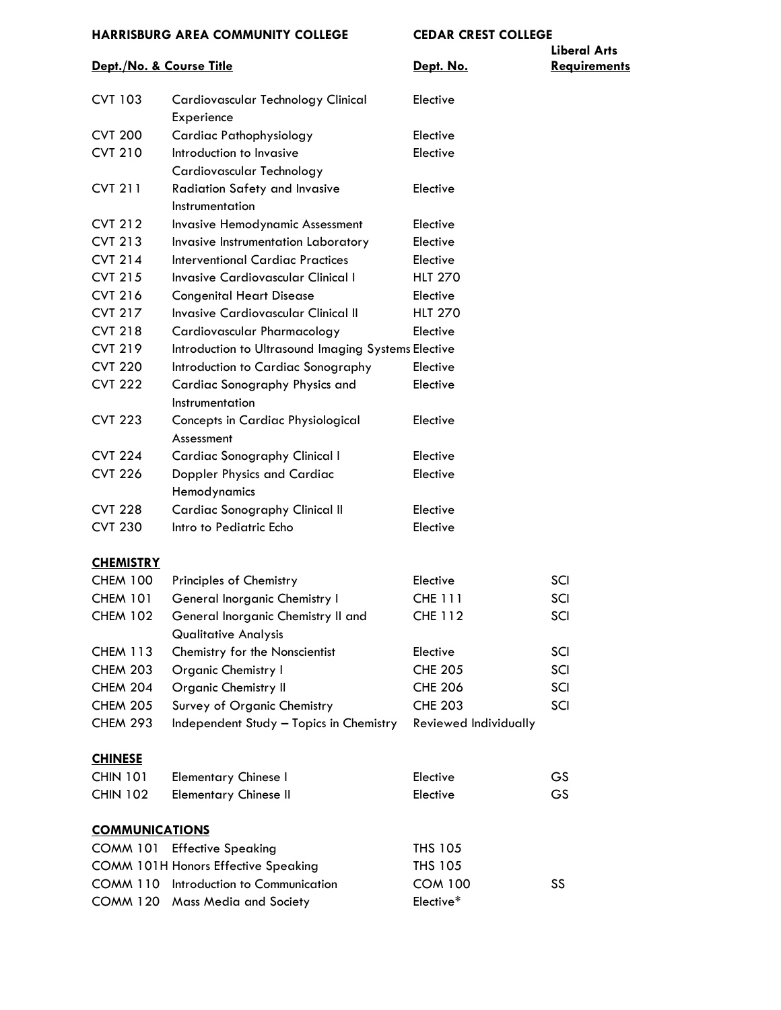|                          |                                                                   |                       | <b>Liberal Arts</b> |
|--------------------------|-------------------------------------------------------------------|-----------------------|---------------------|
| Dept./No. & Course Title |                                                                   | Dept. No.             | <b>Requirements</b> |
| <b>CVT 103</b>           | Cardiovascular Technology Clinical                                | Elective              |                     |
|                          | Experience                                                        |                       |                     |
| <b>CVT 200</b>           | <b>Cardiac Pathophysiology</b>                                    | Elective              |                     |
| <b>CVT 210</b>           | Introduction to Invasive                                          | Elective              |                     |
|                          | Cardiovascular Technology                                         |                       |                     |
| <b>CVT 211</b>           | <b>Radiation Safety and Invasive</b>                              | Elective              |                     |
|                          | Instrumentation                                                   |                       |                     |
| <b>CVT 212</b>           | Invasive Hemodynamic Assessment                                   | Elective              |                     |
| <b>CVT 213</b>           | Invasive Instrumentation Laboratory                               | Elective              |                     |
| <b>CVT 214</b>           | <b>Interventional Cardiac Practices</b>                           | Elective              |                     |
| <b>CVT 215</b>           | <b>Invasive Cardiovascular Clinical I</b>                         | <b>HLT 270</b>        |                     |
| <b>CVT 216</b>           | <b>Congenital Heart Disease</b>                                   | Elective              |                     |
| <b>CVT 217</b>           | Invasive Cardiovascular Clinical II                               | <b>HLT 270</b>        |                     |
| <b>CVT 218</b>           | Cardiovascular Pharmacology                                       | Elective              |                     |
| <b>CVT 219</b>           | Introduction to Ultrasound Imaging Systems Elective               |                       |                     |
| <b>CVT 220</b>           | Introduction to Cardiac Sonography                                | Elective              |                     |
| <b>CVT 222</b>           | Cardiac Sonography Physics and<br>Instrumentation                 | Elective              |                     |
| <b>CVT 223</b>           | Concepts in Cardiac Physiological<br>Assessment                   | Elective              |                     |
| <b>CVT 224</b>           | <b>Cardiac Sonography Clinical I</b>                              | Elective              |                     |
| <b>CVT 226</b>           | <b>Doppler Physics and Cardiac</b>                                | Elective              |                     |
|                          | Hemodynamics                                                      |                       |                     |
| <b>CVT 228</b>           | <b>Cardiac Sonography Clinical II</b>                             | Elective              |                     |
| <b>CVT 230</b>           | Intro to Pediatric Echo                                           | Elective              |                     |
| <b>CHEMISTRY</b>         |                                                                   |                       |                     |
| <b>CHEM 100</b>          | Principles of Chemistry                                           | Elective              | SCI                 |
| <b>CHEM 101</b>          | General Inorganic Chemistry I                                     | <b>CHE 111</b>        | SCI                 |
| <b>CHEM 102</b>          | General Inorganic Chemistry II and<br><b>Qualitative Analysis</b> | <b>CHE 112</b>        | SCI                 |
| <b>CHEM 113</b>          | Chemistry for the Nonscientist                                    | Elective              | SCI                 |
| <b>CHEM 203</b>          | <b>Organic Chemistry I</b>                                        | <b>CHE 205</b>        | SCI                 |
| <b>CHEM 204</b>          | <b>Organic Chemistry II</b>                                       | <b>CHE 206</b>        | SCI                 |
| <b>CHEM 205</b>          | Survey of Organic Chemistry                                       | <b>CHE 203</b>        | SCI                 |
| <b>CHEM 293</b>          | Independent Study - Topics in Chemistry                           | Reviewed Individually |                     |
| <b>CHINESE</b>           |                                                                   |                       |                     |
| <b>CHIN 101</b>          | <b>Elementary Chinese I</b>                                       | Elective              | GS                  |
| <b>CHIN 102</b>          | <b>Elementary Chinese II</b>                                      | Elective              | GS                  |
| <b>COMMUNICATIONS</b>    |                                                                   |                       |                     |
| <b>COMM 101</b>          | <b>Effective Speaking</b>                                         | <b>THS 105</b>        |                     |
|                          | <b>COMM 101H Honors Effective Speaking</b>                        | <b>THS 105</b>        |                     |
|                          | COMM 110 Introduction to Communication                            | <b>COM 100</b>        | SS                  |
|                          | <b>COMM 120 Mass Media and Society</b>                            | Elective*             |                     |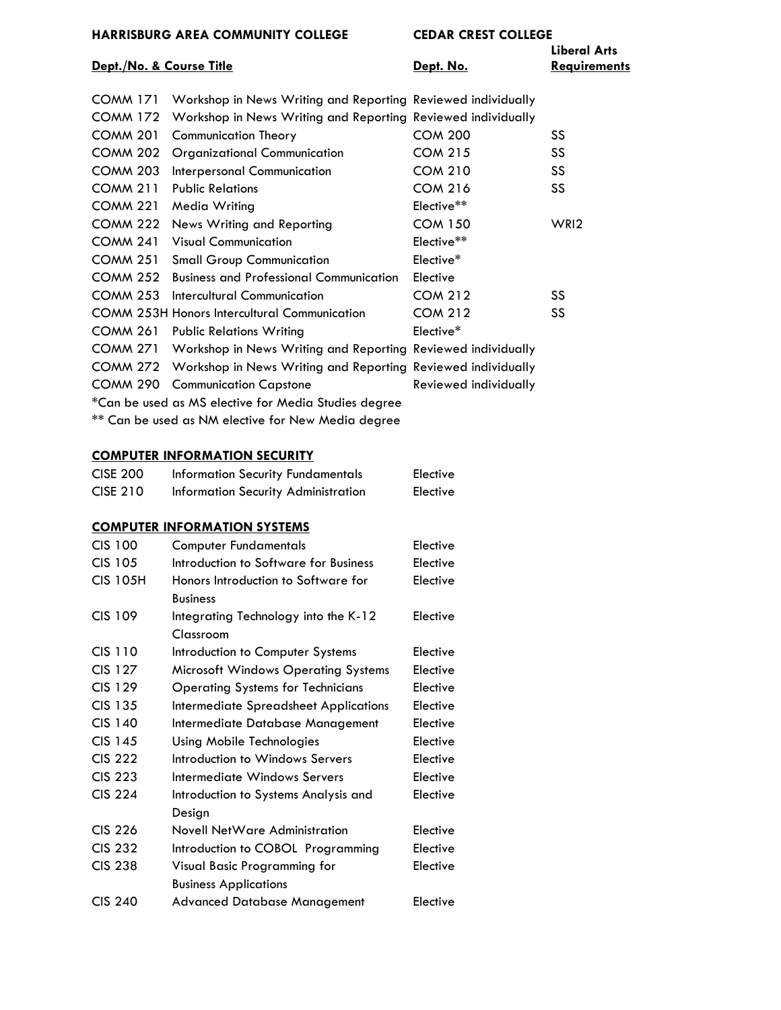## **Dept.** /No. & Course Title **Dept.** No. **Dept.** No.

| Dept./No. & Course Title |                                                              | Dept. No.             | <b>Liberal Arts</b><br><b>Requirements</b> |
|--------------------------|--------------------------------------------------------------|-----------------------|--------------------------------------------|
| <b>COMM 171</b>          | Workshop in News Writing and Reporting Reviewed individually |                       |                                            |
| <b>COMM 172</b>          | Workshop in News Writing and Reporting Reviewed individually |                       |                                            |
| <b>COMM 201</b>          | <b>Communication Theory</b>                                  | <b>COM 200</b>        | SS                                         |
| <b>COMM 202</b>          | <b>Organizational Communication</b>                          | <b>COM 215</b>        | SS.                                        |
| <b>COMM 203</b>          | Interpersonal Communication                                  | <b>COM 210</b>        | SS                                         |
| <b>COMM 211</b>          | <b>Public Relations</b>                                      | <b>COM 216</b>        | SS.                                        |
| <b>COMM 221</b>          | Media Writing                                                | Elective**            |                                            |
| <b>COMM 222</b>          | News Writing and Reporting                                   | <b>COM 150</b>        | WRI <sub>2</sub>                           |
| <b>COMM 241</b>          | <b>Visual Communication</b>                                  | Elective**            |                                            |
| <b>COMM 251</b>          | <b>Small Group Communication</b>                             | Elective*             |                                            |
| <b>COMM 252</b>          | <b>Business and Professional Communication</b>               | Elective              |                                            |
| <b>COMM 253</b>          | Intercultural Communication                                  | <b>COM 212</b>        | SS.                                        |
|                          | <b>COMM 253H Honors Intercultural Communication</b>          | <b>COM 212</b>        | SS                                         |
| <b>COMM 261</b>          | <b>Public Relations Writing</b>                              | Elective*             |                                            |
| <b>COMM 271</b>          | Workshop in News Writing and Reporting Reviewed individually |                       |                                            |
| <b>COMM 272</b>          | Workshop in News Writing and Reporting Reviewed individually |                       |                                            |
| <b>COMM 290</b>          | <b>Communication Capstone</b>                                | Reviewed individually |                                            |
|                          | *Can be used as MS elective for Media Studies degree         |                       |                                            |
|                          |                                                              |                       |                                            |

\*\* Can be used as NM elective for New Media degree

#### **COMPUTER INFORMATION SECURITY**

| <b>CISE 200</b> | <b>Information Security Fundamentals</b> | Elective |
|-----------------|------------------------------------------|----------|
| <b>CISE 210</b> | Information Security Administration      | Elective |

#### **COMPUTER INFORMATION SYSTEMS**

| <b>CIS 100</b>  | <b>Computer Fundamentals</b>               | Elective |
|-----------------|--------------------------------------------|----------|
| <b>CIS 105</b>  | Introduction to Software for Business      | Elective |
| <b>CIS 105H</b> | Honors Introduction to Software for        | Elective |
|                 | <b>Business</b>                            |          |
| <b>CIS 109</b>  | Integrating Technology into the K-12       | Elective |
|                 | Classroom                                  |          |
| CIS 110         | Introduction to Computer Systems           | Elective |
| <b>CIS 127</b>  | <b>Microsoft Windows Operating Systems</b> | Elective |
| <b>CIS 129</b>  | <b>Operating Systems for Technicians</b>   | Elective |
| CIS 135         | Intermediate Spreadsheet Applications      | Elective |
| CIS 140         | Intermediate Database Management           | Elective |
| CIS 145         | Using Mobile Technologies                  | Elective |
| <b>CIS 222</b>  | Introduction to Windows Servers            | Elective |
| <b>CIS 223</b>  | Intermediate Windows Servers               | Elective |
| <b>CIS 224</b>  | Introduction to Systems Analysis and       | Elective |
|                 | Design                                     |          |
| <b>CIS 226</b>  | Novell NetWare Administration              | Elective |
| <b>CIS 232</b>  | Introduction to COBOL Programming          | Elective |
| <b>CIS 238</b>  | Visual Basic Programming for               | Elective |
|                 | <b>Business Applications</b>               |          |
| <b>CIS 240</b>  | <b>Advanced Database Management</b>        | Elective |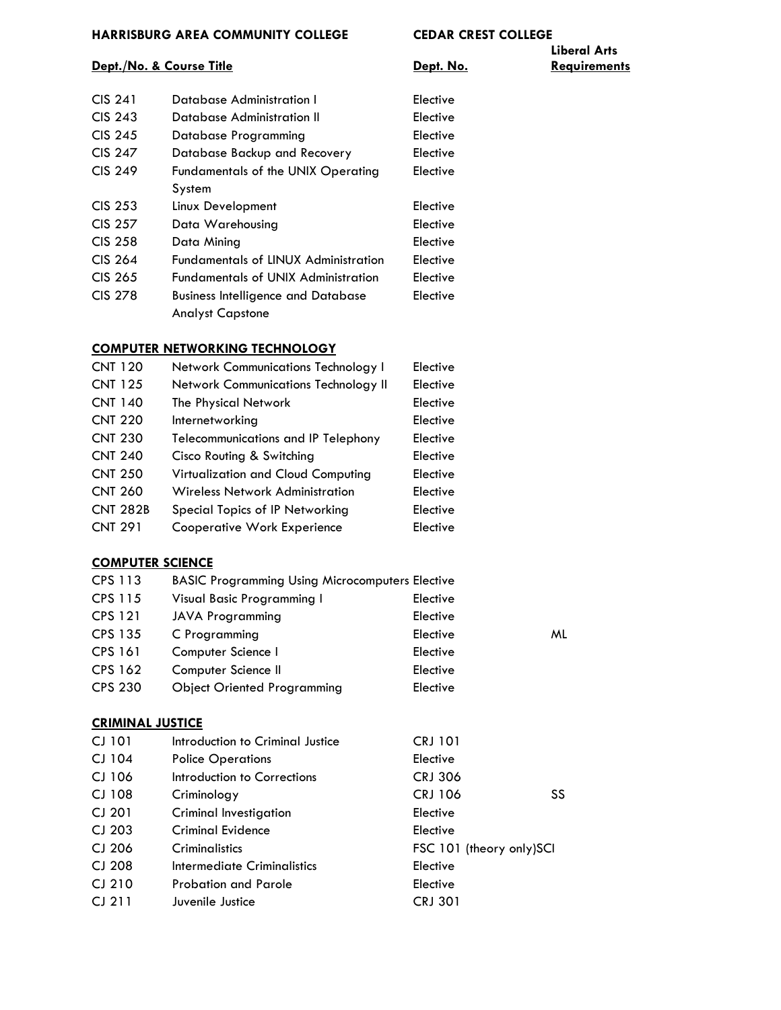# **Liberal Arts**

# **Dept./No. & Course Title Constant Constant Constant Constant Paris Course Title Dept. No. Requirements**

| CIS 241        | Database Administration I                   | Elective |
|----------------|---------------------------------------------|----------|
| <b>CIS 243</b> | Database Administration II                  | Elective |
| <b>CIS 245</b> | Database Programming                        | Elective |
| CIS 247        | Database Backup and Recovery                | Elective |
| CIS 249        | Fundamentals of the UNIX Operating          | Elective |
|                | System                                      |          |
| CIS 253        | Linux Development                           | Elective |
| CIS 257        | Data Warehousing                            | Elective |
| CIS 258        | Data Minina                                 | Elective |
| CIS 264        | <b>Fundamentals of LINUX Administration</b> | Elective |
| CIS 265        | <b>Fundamentals of UNIX Administration</b>  | Elective |
| CIS 278        | <b>Business Intelligence and Database</b>   | Elective |
|                | <b>Analyst Capstone</b>                     |          |

#### **COMPUTER NETWORKING TECHNOLOGY**

| <b>CNT 120</b>  | Network Communications Technology I         | Elective |
|-----------------|---------------------------------------------|----------|
| <b>CNT 125</b>  | <b>Network Communications Technology II</b> | Elective |
| <b>CNT 140</b>  | The Physical Network                        | Elective |
| <b>CNT 220</b>  | Internetworking                             | Elective |
| <b>CNT 230</b>  | <b>Telecommunications and IP Telephony</b>  | Elective |
| <b>CNT 240</b>  | Cisco Routing & Switching                   | Elective |
| <b>CNT 250</b>  | Virtualization and Cloud Computing          | Elective |
| <b>CNT 260</b>  | <b>Wireless Network Administration</b>      | Elective |
| <b>CNT 282B</b> | Special Topics of IP Networking             | Elective |
| <b>CNT 291</b>  | <b>Cooperative Work Experience</b>          | Elective |
|                 |                                             |          |

#### **COMPUTER SCIENCE**

| CPS 113        | <b>BASIC Programming Using Microcomputers Elective</b> |          |    |
|----------------|--------------------------------------------------------|----------|----|
| CPS 115        | Visual Basic Programming I                             | Elective |    |
| <b>CPS 121</b> | <b>JAVA Programming</b>                                | Elective |    |
| CPS 135        | C Programming                                          | Elective | ML |
| <b>CPS 161</b> | Computer Science I                                     | Elective |    |
| CPS 162        | Computer Science II                                    | Elective |    |
| <b>CPS 230</b> | <b>Object Oriented Programming</b>                     | Elective |    |
|                |                                                        |          |    |

### **CRIMINAL JUSTICE**

| CJ 101   | Introduction to Criminal Justice | <b>CRJ 101</b>           |
|----------|----------------------------------|--------------------------|
| CJ 104   | <b>Police Operations</b>         | Elective                 |
| CJ 106   | Introduction to Corrections      | <b>CRJ 306</b>           |
| CJ 108   | Criminology                      | <b>CRJ 106</b><br>SS     |
| $CI$ 201 | Criminal Investigation           | Elective                 |
| $CI$ 203 | Criminal Evidence                | Elective                 |
| CJ 206   | Criminalistics                   | FSC 101 (theory only)SCI |
| CJ 208   | Intermediate Criminalistics      | Elective                 |
| $CI$ 210 | <b>Probation and Parole</b>      | Elective                 |
| $CI$ 211 | Juvenile Justice                 | <b>CRJ 301</b>           |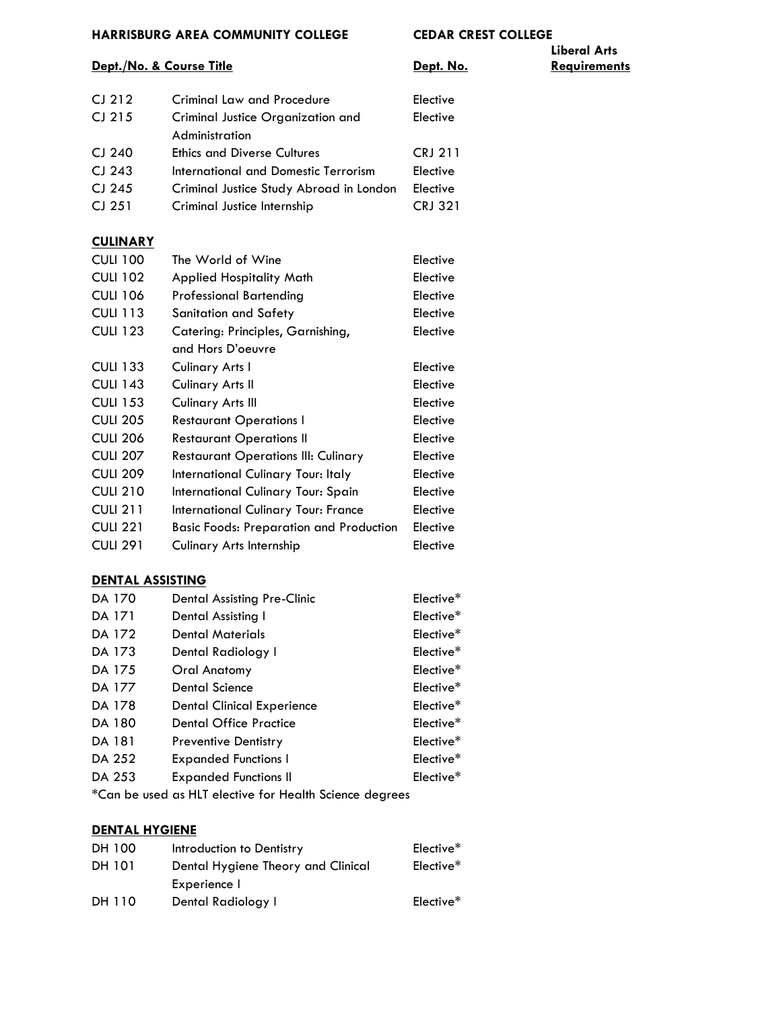# **Liberal Arts**

#### **Dept./No. & Course Title Constant Constant Constant Dept. No. Requirements**

| $CJ$ 212          | <b>Criminal Law and Procedure</b>       | Elective       |
|-------------------|-----------------------------------------|----------------|
| $CI$ 215          | Criminal Justice Organization and       | Elective       |
|                   | Administration                          |                |
| CJ 240            | <b>Ethics and Diverse Cultures</b>      | <b>CRJ 211</b> |
| CI <sub>243</sub> | International and Domestic Terrorism    | Elective       |
| CJ 245            | Criminal Justice Study Abroad in London | Elective       |
| $CI$ 251          | Criminal Justice Internship             | <b>CRJ 321</b> |
|                   |                                         |                |

## **CULINARY**

| <b>CULI 100</b> | The World of Wine                              | Elective |
|-----------------|------------------------------------------------|----------|
| <b>CULI 102</b> | <b>Applied Hospitality Math</b>                | Elective |
| <b>CULI 106</b> | Professional Bartending                        | Elective |
| <b>CULI 113</b> | Sanitation and Safety                          | Elective |
| <b>CULI 123</b> | Catering: Principles, Garnishing,              | Elective |
|                 | and Hors D'oeuvre                              |          |
| <b>CULI 133</b> | Culinary Arts I                                | Elective |
| <b>CULI 143</b> | Culinary Arts II                               | Elective |
| <b>CULI 153</b> | Culinary Arts III                              | Elective |
| <b>CULI 205</b> | <b>Restaurant Operations I</b>                 | Elective |
| <b>CULI 206</b> | <b>Restaurant Operations II</b>                | Elective |
| <b>CULI 207</b> | <b>Restaurant Operations III: Culinary</b>     | Elective |
| <b>CULI 209</b> | International Culinary Tour: Italy             | Elective |
| <b>CULI 210</b> | International Culinary Tour: Spain             | Elective |
| <b>CULI 211</b> | International Culinary Tour: France            | Elective |
| <b>CULI 221</b> | <b>Basic Foods: Preparation and Production</b> | Elective |
| <b>CULI 291</b> | Culinary Arts Internship                       | Elective |

#### **DENTAL ASSISTING**

| DA 170        | Dental Assisting Pre-Clinic                            | Elective <sup>*</sup> |
|---------------|--------------------------------------------------------|-----------------------|
| <b>DA 171</b> | Dental Assisting I                                     | Elective <sup>*</sup> |
| DA 172        | <b>Dental Materials</b>                                | Elective <sup>*</sup> |
| DA 173        | Dental Radiology I                                     | Elective <sup>*</sup> |
| DA 175        | Oral Anatomy                                           | Elective*             |
| DA 177        | Dental Science                                         | Elective <sup>*</sup> |
| DA 178        | Dental Clinical Experience                             | Elective <sup>*</sup> |
| DA 180        | <b>Dental Office Practice</b>                          | Elective*             |
| DA 181        | <b>Preventive Dentistry</b>                            | Elective <sup>*</sup> |
| DA 252        | <b>Expanded Functions I</b>                            | Elective*             |
| DA 253        | <b>Expanded Functions II</b>                           | Elective <sup>*</sup> |
|               | *Can ha usad as ULT alastus far Haalth Calanga daaraas |                       |

\*Can be used as HLT elective for Health Science degrees

# **DENTAL HYGIENE**

| DH 100 | Introduction to Dentistry          | Elective <sup>*</sup> |
|--------|------------------------------------|-----------------------|
| DH 101 | Dental Hygiene Theory and Clinical | Elective <sup>*</sup> |
|        | Experience I                       |                       |
| DH 110 | Dental Radiology I                 | Elective <sup>*</sup> |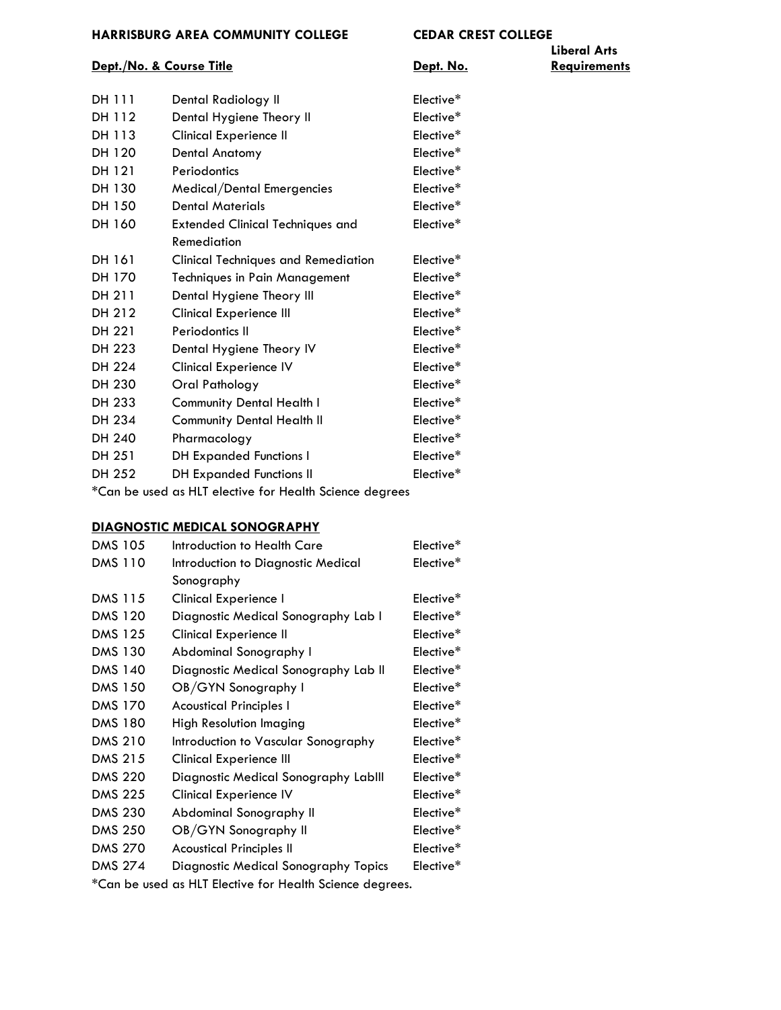#### **Dept./No. & Course Title Constant Constant Constant Periodic Constant Constant Constant Periodic Constant Constant Constant Periodic Constant Constant Periodic Constant Periodic Constant Periodic Constant Periodic Const**

| DH 111                                                  | Dental Radiology II                        | Elective* |  |
|---------------------------------------------------------|--------------------------------------------|-----------|--|
| DH 112                                                  | Dental Hygiene Theory II                   | Elective* |  |
| DH 113                                                  | Clinical Experience II                     | Elective* |  |
| DH 120                                                  | Dental Anatomy                             | Elective* |  |
| DH 121                                                  | Periodontics                               | Elective* |  |
| DH 130                                                  | Medical/Dental Emergencies                 | Elective* |  |
| DH 150                                                  | <b>Dental Materials</b>                    | Elective* |  |
| DH 160                                                  | <b>Extended Clinical Techniques and</b>    | Elective* |  |
|                                                         | Remediation                                |           |  |
| DH 161                                                  | <b>Clinical Techniques and Remediation</b> | Elective* |  |
| DH 170                                                  | <b>Techniques in Pain Management</b>       | Elective* |  |
| DH 211                                                  | Dental Hygiene Theory III                  | Elective* |  |
| DH 212                                                  | <b>Clinical Experience III</b>             | Elective* |  |
| DH 221                                                  | Periodontics II                            | Elective* |  |
| DH 223                                                  | Dental Hygiene Theory IV                   | Elective* |  |
| DH 224                                                  | <b>Clinical Experience IV</b>              | Elective* |  |
| DH 230                                                  | Oral Pathology                             | Elective* |  |
| DH 233                                                  | <b>Community Dental Health I</b>           | Elective* |  |
| DH 234                                                  | <b>Community Dental Health II</b>          | Elective* |  |
| DH 240                                                  | Pharmacology                               | Elective* |  |
| DH 251                                                  | <b>DH Expanded Functions I</b>             | Elective* |  |
| DH 252                                                  | <b>DH Expanded Functions II</b>            | Elective* |  |
| *Can be used as HLT elective for Health Science degrees |                                            |           |  |

## **DIAGNOSTIC MEDICAL SONOGRAPHY**

| <b>DMS 105</b> | Introduction to Health Care          | Elective*             |
|----------------|--------------------------------------|-----------------------|
| <b>DMS 110</b> | Introduction to Diagnostic Medical   | Elective*             |
|                | Sonography                           |                       |
| <b>DMS 115</b> | Clinical Experience I                | Elective*             |
| <b>DMS 120</b> | Diagnostic Medical Sonography Lab I  | Elective*             |
| <b>DMS 125</b> | <b>Clinical Experience II</b>        | Elective*             |
| <b>DMS 130</b> | Abdominal Sonography I               | Elective*             |
| <b>DMS 140</b> | Diagnostic Medical Sonography Lab II | Elective*             |
| <b>DMS 150</b> | OB/GYN Sonography I                  | Elective*             |
| <b>DMS 170</b> | <b>Acoustical Principles I</b>       | Elective*             |
| <b>DMS 180</b> | High Resolution Imaging              | Elective*             |
| <b>DMS 210</b> | Introduction to Vascular Sonography  | Elective*             |
| <b>DMS 215</b> | Clinical Experience III              | Elective*             |
| <b>DMS 220</b> | Diagnostic Medical Sonography Lablll | Elective <sup>*</sup> |
| <b>DMS 225</b> | <b>Clinical Experience IV</b>        | Elective*             |
| <b>DMS 230</b> | Abdominal Sonography II              | Elective*             |
| <b>DMS 250</b> | OB/GYN Sonography II                 | Elective*             |
| <b>DMS 270</b> | <b>Acoustical Principles II</b>      | Elective*             |
| <b>DMS 274</b> | Diagnostic Medical Sonography Topics | Elective <sup>*</sup> |
|                |                                      |                       |

\*Can be used as HLT Elective for Health Science degrees.

# **Liberal Arts**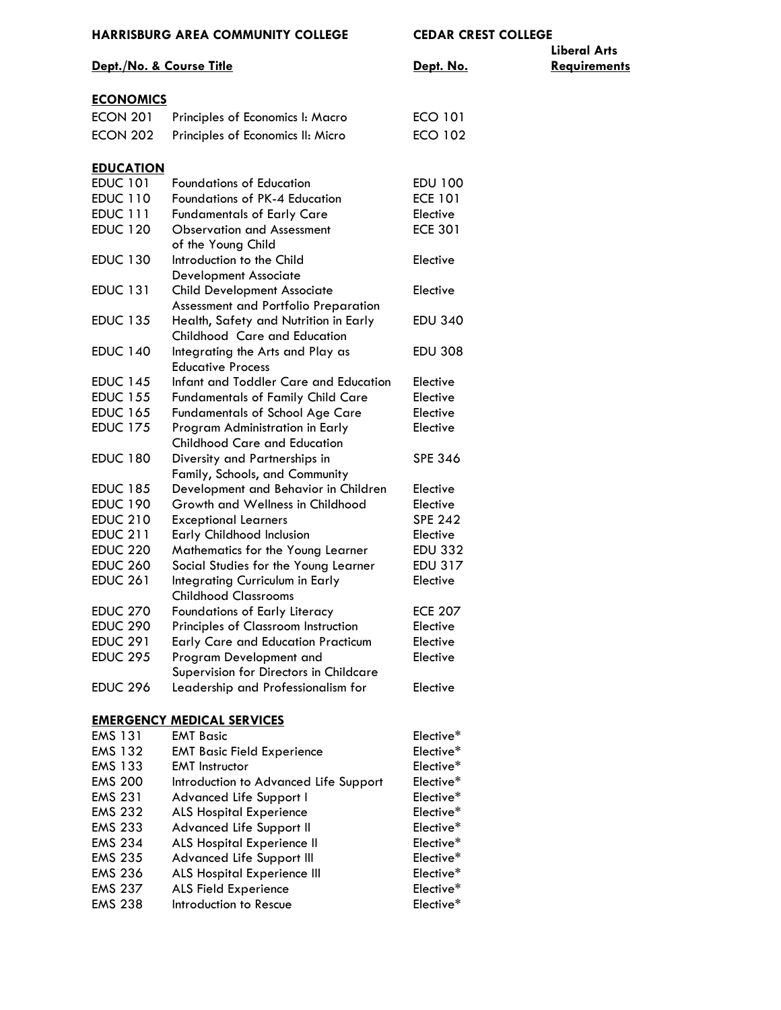|                          | <b>HARRISBURG AREA COMMUNITY COLLEGE</b>                               | <b>CEDAR CREST COLLEGE</b> |                     |
|--------------------------|------------------------------------------------------------------------|----------------------------|---------------------|
|                          |                                                                        |                            | <b>Liberal Arts</b> |
| Dept./No. & Course Title |                                                                        | Dept. No.                  | <b>Requirements</b> |
| <b>ECONOMICS</b>         |                                                                        |                            |                     |
| <b>ECON 201</b>          | Principles of Economics I: Macro                                       | <b>ECO 101</b>             |                     |
| <b>ECON 202</b>          | Principles of Economics II: Micro                                      | <b>ECO 102</b>             |                     |
|                          |                                                                        |                            |                     |
| <b>EDUCATION</b>         |                                                                        |                            |                     |
| <b>EDUC 101</b>          | <b>Foundations of Education</b>                                        | EDU 100                    |                     |
| <b>EDUC 110</b>          | Foundations of PK-4 Education                                          | <b>ECE 101</b>             |                     |
| <b>EDUC 111</b>          | <b>Fundamentals of Early Care</b>                                      | Elective                   |                     |
| <b>EDUC 120</b>          | <b>Observation and Assessment</b>                                      | <b>ECE 301</b>             |                     |
|                          | of the Young Child                                                     |                            |                     |
| <b>EDUC 130</b>          | Introduction to the Child<br><b>Development Associate</b>              | Elective                   |                     |
| <b>EDUC 131</b>          | <b>Child Development Associate</b>                                     | Elective                   |                     |
|                          | Assessment and Portfolio Preparation                                   |                            |                     |
| <b>EDUC 135</b>          | Health, Safety and Nutrition in Early                                  | <b>EDU 340</b>             |                     |
|                          | Childhood Care and Education                                           |                            |                     |
| <b>EDUC 140</b>          | Integrating the Arts and Play as<br><b>Educative Process</b>           | <b>EDU 308</b>             |                     |
| <b>EDUC 145</b>          | Infant and Toddler Care and Education                                  | Elective                   |                     |
| <b>EDUC 155</b>          | <b>Fundamentals of Family Child Care</b>                               | Elective                   |                     |
| <b>EDUC 165</b>          | <b>Fundamentals of School Age Care</b>                                 | Elective                   |                     |
| <b>EDUC 175</b>          | Program Administration in Early                                        | Elective                   |                     |
|                          | <b>Childhood Care and Education</b>                                    |                            |                     |
| <b>EDUC 180</b>          | Diversity and Partnerships in                                          | <b>SPE 346</b>             |                     |
| <b>EDUC 185</b>          | Family, Schools, and Community<br>Development and Behavior in Children | Elective                   |                     |
| <b>EDUC 190</b>          | Growth and Wellness in Childhood                                       | Elective                   |                     |
| <b>EDUC 210</b>          | <b>Exceptional Learners</b>                                            | <b>SPE 242</b>             |                     |
| <b>EDUC 211</b>          | Early Childhood Inclusion                                              | Elective                   |                     |
| <b>EDUC 220</b>          | Mathematics for the Young Learner                                      | <b>EDU 332</b>             |                     |
| <b>EDUC 260</b>          | Social Studies for the Young Learner                                   | EDU 317                    |                     |
| <b>EDUC 261</b>          | Integrating Curriculum in Early                                        | Elective                   |                     |
|                          | <b>Childhood Classrooms</b>                                            |                            |                     |
| <b>EDUC 270</b>          | Foundations of Early Literacy                                          | <b>ECE 207</b>             |                     |
| <b>EDUC 290</b>          | Principles of Classroom Instruction                                    | Elective                   |                     |
| <b>EDUC 291</b>          | <b>Early Care and Education Practicum</b>                              | Elective                   |                     |
| <b>EDUC 295</b>          | Program Development and                                                | Elective                   |                     |
|                          | Supervision for Directors in Childcare                                 |                            |                     |
| <b>EDUC 296</b>          | Leadership and Professionalism for                                     | Elective                   |                     |
|                          | <b>EMERGENCY MEDICAL SERVICES</b>                                      |                            |                     |
| <b>EMS 131</b>           | <b>EMT Basic</b>                                                       | Elective*                  |                     |
| <b>EMS 132</b>           | <b>EMT Basic Field Experience</b>                                      | Elective*                  |                     |
| <b>EMS 133</b>           | <b>EMT</b> Instructor                                                  | Elective*                  |                     |
| <b>EMS 200</b>           | Introduction to Advanced Life Support                                  | Elective*                  |                     |
| <b>EMS 231</b>           | Advanced Life Support I                                                | Elective*                  |                     |
| <b>EMS 232</b>           | <b>ALS Hospital Experience</b>                                         | Elective*                  |                     |
| <b>EMS 233</b>           | Advanced Life Support II                                               | Elective*                  |                     |
| <b>EMS 234</b>           | ALS Hospital Experience II                                             | Elective*                  |                     |
| <b>EMS 235</b>           | Advanced Life Support III                                              | Elective*                  |                     |
| <b>EMS 236</b>           | ALS Hospital Experience III                                            | Elective*                  |                     |
| <b>EMS 237</b>           | ALS Field Experience                                                   | Elective*                  |                     |
| <b>EMS 238</b>           | Introduction to Rescue                                                 | Elective*                  |                     |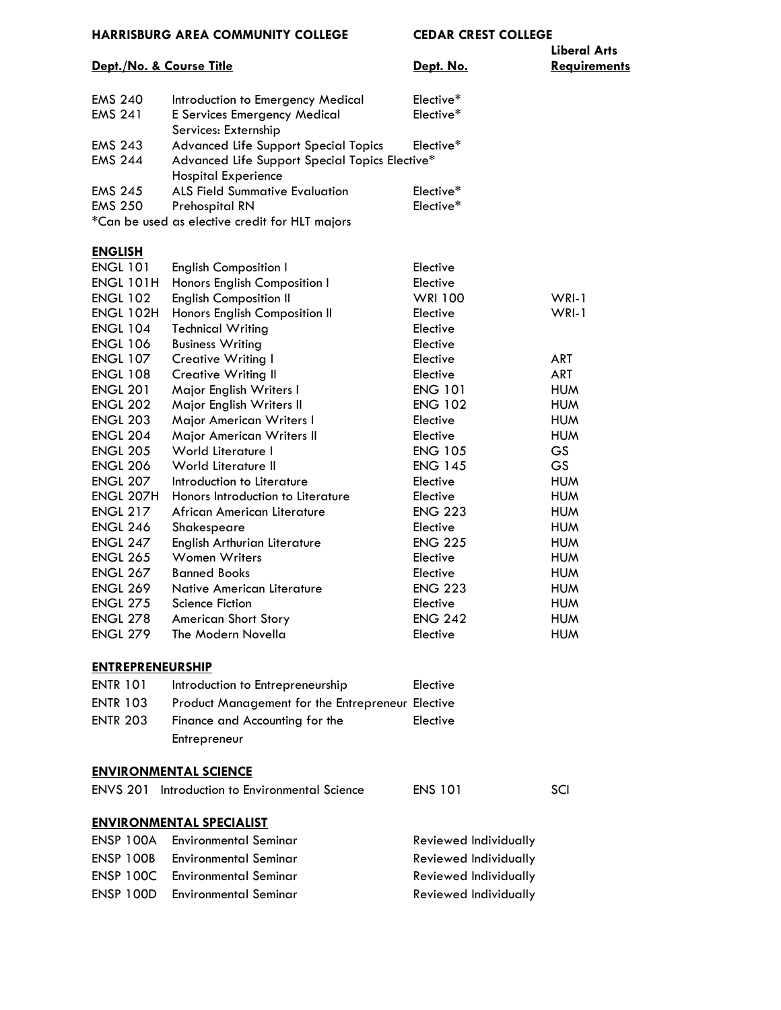| HARRISBURG AREA COMMUNITY COLLEGE   |                                                                              | CEDAR CREST COLLEGE        |                                     |
|-------------------------------------|------------------------------------------------------------------------------|----------------------------|-------------------------------------|
| Dept./No. & Course Title            |                                                                              | Dept. No.                  | <b>Liberal Arts</b><br>Requirements |
| <b>EMS 240</b>                      | Introduction to Emergency Medical                                            | Elective*                  |                                     |
| <b>EMS 241</b>                      | E Services Emergency Medical<br>Services: Externship                         | Elective*                  |                                     |
| <b>EMS 243</b>                      | Advanced Life Support Special Topics                                         | Elective*                  |                                     |
| <b>EMS 244</b>                      | Advanced Life Support Special Topics Elective*<br><b>Hospital Experience</b> |                            |                                     |
| <b>EMS 245</b>                      | <b>ALS Field Summative Evaluation</b>                                        | Elective*                  |                                     |
| <b>EMS 250</b>                      | Prehospital RN                                                               | Elective*                  |                                     |
|                                     | *Can be used as elective credit for HLT majors                               |                            |                                     |
| <b>ENGLISH</b>                      |                                                                              |                            |                                     |
| <b>ENGL 101</b>                     | <b>English Composition I</b>                                                 | Elective                   |                                     |
| <b>ENGL 101H</b>                    | Honors English Composition I                                                 | Elective                   |                                     |
| <b>ENGL 102</b>                     | <b>English Composition II</b>                                                | <b>WRI 100</b>             | $WRI-1$                             |
| <b>ENGL 102H</b>                    | Honors English Composition II                                                | Elective                   | WRI-1                               |
| <b>ENGL 104</b>                     | <b>Technical Writing</b>                                                     | Elective                   |                                     |
| <b>ENGL 106</b>                     | <b>Business Writing</b>                                                      | Elective                   |                                     |
| <b>ENGL 107</b>                     | Creative Writing I                                                           | Elective                   | ART                                 |
| <b>ENGL 108</b>                     | <b>Creative Writing II</b>                                                   | Elective                   | <b>ART</b>                          |
| <b>ENGL 201</b>                     | Major English Writers I                                                      | <b>ENG 101</b>             | <b>HUM</b>                          |
| <b>ENGL 202</b>                     | Major English Writers II                                                     | <b>ENG 102</b>             | <b>HUM</b>                          |
| <b>ENGL 203</b>                     | Major American Writers I                                                     | Elective                   | <b>HUM</b>                          |
| <b>ENGL 204</b>                     | Major American Writers II                                                    | Elective                   | <b>HUM</b>                          |
| <b>ENGL 205</b>                     | World Literature I                                                           | <b>ENG 105</b>             | GS                                  |
| <b>ENGL 206</b>                     | World Literature II                                                          | <b>ENG 145</b>             | <b>GS</b>                           |
| <b>ENGL 207</b><br><b>ENGL 207H</b> | Introduction to Literature<br>Honors Introduction to Literature              | Elective                   | <b>HUM</b><br><b>HUM</b>            |
| <b>ENGL 217</b>                     |                                                                              | Elective                   | <b>HUM</b>                          |
|                                     | African American Literature                                                  | <b>ENG 223</b>             | <b>HUM</b>                          |
| <b>ENGL 246</b><br><b>ENGL 247</b>  | Shakespeare<br>English Arthurian Literature                                  | Elective<br><b>ENG 225</b> | <b>HUM</b>                          |
| <b>ENGL 265</b>                     | <b>Women Writers</b>                                                         | Elective                   | <b>HUM</b>                          |
| <b>ENGL 267</b>                     | <b>Banned Books</b>                                                          | Elective                   | <b>HUM</b>                          |
| <b>ENGL 269</b>                     | Native American Literature                                                   | <b>ENG 223</b>             | <b>HUM</b>                          |
| <b>ENGL 275</b>                     | Science Fiction                                                              | Elective                   | <b>HUM</b>                          |
| <b>ENGL 278</b>                     | <b>American Short Story</b>                                                  | <b>ENG 242</b>             | <b>HUM</b>                          |
| <b>ENGL 279</b>                     | The Modern Novella                                                           | Elective                   | <b>HUM</b>                          |
| <b>ENTREPRENEURSHIP</b>             |                                                                              |                            |                                     |
| <b>ENTR 101</b>                     | Introduction to Entrepreneurship                                             | Elective                   |                                     |
| <b>ENTR 103</b>                     | Product Management for the Entrepreneur Elective                             |                            |                                     |
| <b>ENTR 203</b>                     | Finance and Accounting for the                                               | Elective                   |                                     |
|                                     | Entrepreneur                                                                 |                            |                                     |
|                                     |                                                                              |                            |                                     |
|                                     | <b>ENVIRONMENTAL SCIENCE</b>                                                 |                            |                                     |
|                                     | <b>ENVS 201</b> Introduction to Environmental Science                        | <b>ENS 101</b>             | SCI                                 |
|                                     | <b>ENVIRONMENTAL SPECIALIST</b>                                              |                            |                                     |
| <b>ENSP 100A</b>                    | <b>Environmental Seminar</b>                                                 | Reviewed Individually      |                                     |
| <b>ENSP 100B</b>                    | <b>Environmental Seminar</b>                                                 | Reviewed Individually      |                                     |
| <b>ENSP 100C</b>                    | <b>Environmental Seminar</b>                                                 | Reviewed Individually      |                                     |
| <b>ENSP 100D</b>                    | <b>Environmental Seminar</b>                                                 | Reviewed Individually      |                                     |
|                                     |                                                                              |                            |                                     |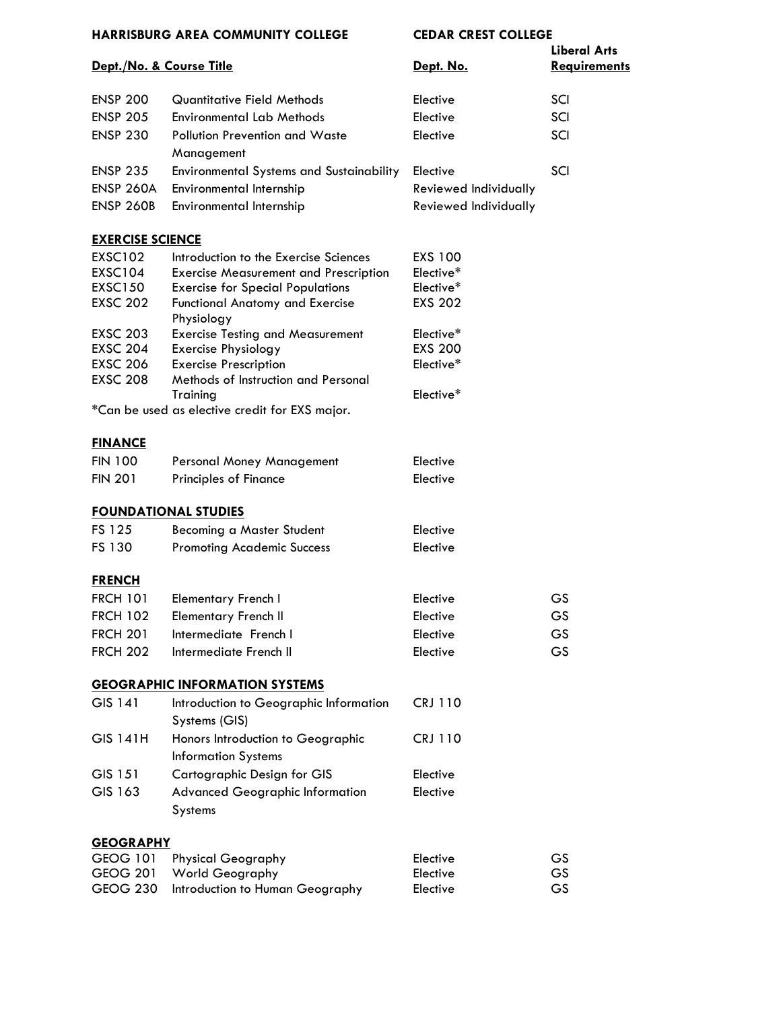| Dept./No. & Course Title |                                                      | Dept. No.             | <b>Liberal Arts</b><br><b>Requirements</b> |  |
|--------------------------|------------------------------------------------------|-----------------------|--------------------------------------------|--|
| <b>ENSP 200</b>          | <b>Quantitative Field Methods</b>                    | Elective              | SCI                                        |  |
| <b>ENSP 205</b>          | <b>Environmental Lab Methods</b>                     | Elective              | SCI                                        |  |
| <b>ENSP 230</b>          | Pollution Prevention and Waste                       | Elective              | SCI                                        |  |
|                          | Management                                           |                       |                                            |  |
| <b>ENSP 235</b>          | Environmental Systems and Sustainability             | Elective              | SCI                                        |  |
| <b>ENSP 260A</b>         | Environmental Internship                             | Reviewed Individually |                                            |  |
| <b>ENSP 260B</b>         | Environmental Internship                             | Reviewed Individually |                                            |  |
| <b>EXERCISE SCIENCE</b>  |                                                      |                       |                                            |  |
| EXSC102                  | Introduction to the Exercise Sciences                | EXS 100               |                                            |  |
| <b>EXSC104</b>           | <b>Exercise Measurement and Prescription</b>         | Elective*             |                                            |  |
| <b>EXSC150</b>           | <b>Exercise for Special Populations</b>              | Elective*             |                                            |  |
| <b>EXSC 202</b>          | <b>Functional Anatomy and Exercise</b><br>Physiology | <b>EXS 202</b>        |                                            |  |
| <b>EXSC 203</b>          | <b>Exercise Testing and Measurement</b>              | Elective*             |                                            |  |
| <b>EXSC 204</b>          | <b>Exercise Physiology</b>                           | <b>EXS 200</b>        |                                            |  |
| <b>EXSC 206</b>          | <b>Exercise Prescription</b>                         | Elective*             |                                            |  |
| <b>EXSC 208</b>          | Methods of Instruction and Personal<br>Training      | Elective*             |                                            |  |
|                          | *Can be used as elective credit for EXS major.       |                       |                                            |  |
| <b>FINANCE</b>           |                                                      |                       |                                            |  |
| <b>FIN 100</b>           | Personal Money Management                            | Elective              |                                            |  |
| <b>FIN 201</b>           | Principles of Finance                                | Elective              |                                            |  |
|                          | <b>FOUNDATIONAL STUDIES</b>                          |                       |                                            |  |
| FS 125                   | Becoming a Master Student                            | Elective              |                                            |  |
| FS 130                   | <b>Promoting Academic Success</b>                    | Elective              |                                            |  |
| <b>FRENCH</b>            |                                                      |                       |                                            |  |
| <b>FRCH 101</b>          | <b>Elementary French I</b>                           | Elective              | GS                                         |  |
| <b>FRCH 102</b>          | <b>Elementary French II</b>                          | Elective              | GS                                         |  |
| <b>FRCH 201</b>          | Intermediate French I                                | Elective              | GS                                         |  |
| <b>FRCH 202</b>          | Intermediate French II                               | Elective              | <b>GS</b>                                  |  |
|                          | <b>GEOGRAPHIC INFORMATION SYSTEMS</b>                |                       |                                            |  |
| GIS 141                  | Introduction to Geographic Information               | <b>CRJ 110</b>        |                                            |  |
|                          | Systems (GIS)                                        |                       |                                            |  |
| <b>GIS 141H</b>          | Honors Introduction to Geographic                    | <b>CRJ 110</b>        |                                            |  |
|                          | <b>Information Systems</b>                           |                       |                                            |  |
| GIS 151                  | Cartographic Design for GIS                          | Elective              |                                            |  |
| GIS 163                  | <b>Advanced Geographic Information</b>               | Elective              |                                            |  |
|                          | Systems                                              |                       |                                            |  |
| <b>GEOGRAPHY</b>         |                                                      |                       |                                            |  |
| <b>GEOG 101</b>          | <b>Physical Geography</b>                            | Elective              | GS                                         |  |
| <b>GEOG 201</b>          | <b>World Geography</b>                               | Elective              | GS                                         |  |
| <b>GEOG 230</b>          | Introduction to Human Geography                      | Elective              | GS                                         |  |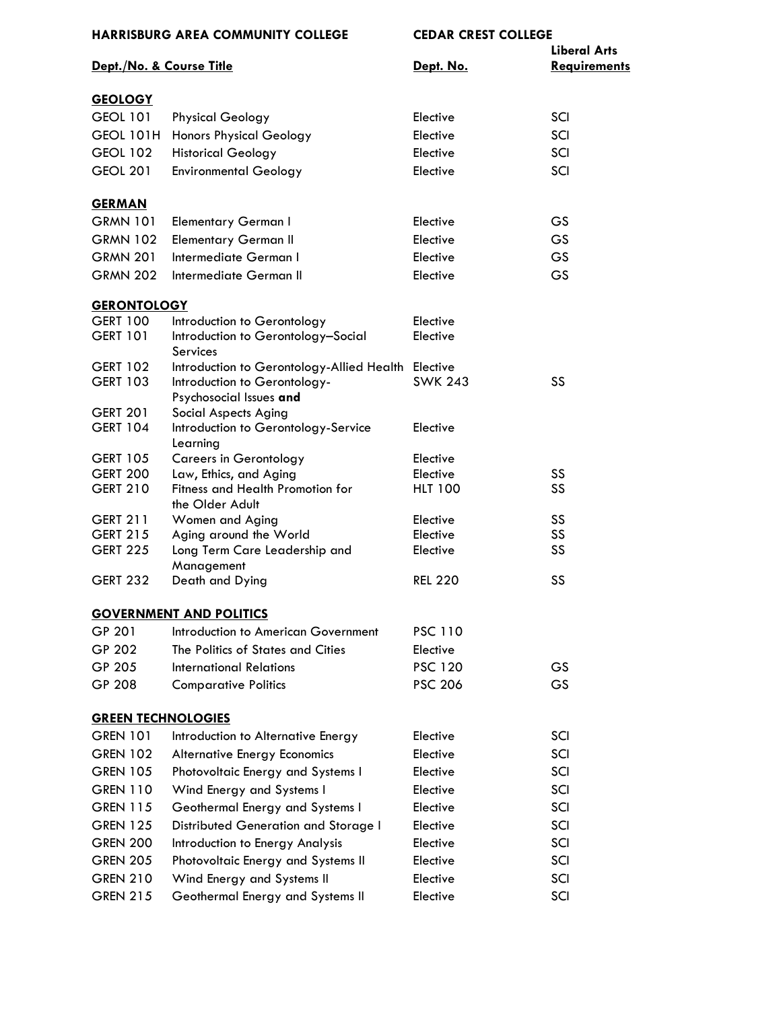| <b>HARRISBURG AREA COMMUNITY COLLEGE</b> |                                                         | <b>CEDAR CREST COLLEGE</b> |                                            |
|------------------------------------------|---------------------------------------------------------|----------------------------|--------------------------------------------|
| Dept./No. & Course Title                 |                                                         | Dept. No.                  | <b>Liberal Arts</b><br><b>Requirements</b> |
| <b>GEOLOGY</b>                           |                                                         |                            |                                            |
| <b>GEOL 101</b>                          | <b>Physical Geology</b>                                 | Elective                   | SCI                                        |
| <b>GEOL 101H</b>                         | <b>Honors Physical Geology</b>                          | Elective                   | SCI                                        |
| <b>GEOL 102</b>                          | <b>Historical Geology</b>                               | Elective                   | SCI                                        |
| <b>GEOL 201</b>                          | <b>Environmental Geology</b>                            | Elective                   | SCI                                        |
| <b>GERMAN</b>                            |                                                         |                            |                                            |
| <b>GRMN 101</b>                          | <b>Elementary German I</b>                              | Elective                   | GS                                         |
| <b>GRMN 102</b>                          | <b>Elementary German II</b>                             | Elective                   | <b>GS</b>                                  |
| <b>GRMN 201</b>                          | Intermediate German I                                   | Elective                   | GS                                         |
| <b>GRMN 202</b>                          | Intermediate German II                                  | Elective                   | GS                                         |
| <b>GERONTOLOGY</b>                       |                                                         |                            |                                            |
| <b>GERT 100</b>                          | Introduction to Gerontology                             | Elective                   |                                            |
| <b>GERT 101</b>                          | Introduction to Gerontology-Social<br>Services          | Elective                   |                                            |
| <b>GERT 102</b>                          | Introduction to Gerontology-Allied Health Elective      |                            |                                            |
| <b>GERT 103</b>                          | Introduction to Gerontology-<br>Psychosocial Issues and | <b>SWK 243</b>             | SS                                         |
| <b>GERT 201</b>                          | <b>Social Aspects Aging</b>                             |                            |                                            |
| <b>GERT 104</b>                          | Introduction to Gerontology-Service<br>Learning         | Elective                   |                                            |
| <b>GERT 105</b>                          | <b>Careers in Gerontology</b>                           | Elective                   |                                            |
| <b>GERT 200</b>                          | Law, Ethics, and Aging                                  | Elective                   | SS                                         |
| <b>GERT 210</b>                          | Fitness and Health Promotion for<br>the Older Adult     | <b>HLT 100</b>             | SS                                         |
| <b>GERT 211</b>                          | Women and Aging                                         | Elective                   | SS                                         |
| <b>GERT 215</b>                          | Aging around the World                                  | Elective                   | SS                                         |
| <b>GERT 225</b>                          | Long Term Care Leadership and<br>Management             | Elective                   | SS                                         |
| <b>GERT 232</b>                          | Death and Dying                                         | <b>REL 220</b>             | SS                                         |
|                                          | <b>GOVERNMENT AND POLITICS</b>                          |                            |                                            |
| GP 201                                   | Introduction to American Government                     | <b>PSC 110</b>             |                                            |
| GP 202                                   | The Politics of States and Cities                       | Elective                   |                                            |
| GP 205                                   | <b>International Relations</b>                          | <b>PSC 120</b>             | GS                                         |
| GP 208                                   | <b>Comparative Politics</b>                             | <b>PSC 206</b>             | <b>GS</b>                                  |
| <b>GREEN TECHNOLOGIES</b>                |                                                         |                            |                                            |
| <b>GREN 101</b>                          | Introduction to Alternative Energy                      | Elective                   | SCI                                        |
| <b>GREN 102</b>                          | <b>Alternative Energy Economics</b>                     | Elective                   | SCI                                        |
| <b>GREN 105</b>                          | Photovoltaic Energy and Systems I                       | Elective                   | SCI                                        |
| <b>GREN 110</b>                          | Wind Energy and Systems I                               | Elective                   | SCI                                        |
| <b>GREN 115</b>                          | Geothermal Energy and Systems I                         | Elective                   | SCI                                        |
| <b>GREN 125</b>                          | Distributed Generation and Storage I                    | Elective                   | SCI                                        |
| <b>GREN 200</b>                          | Introduction to Energy Analysis                         | Elective                   | SCI                                        |
| <b>GREN 205</b>                          | Photovoltaic Energy and Systems II                      | Elective                   | SCI                                        |
| <b>GREN 210</b>                          | Wind Energy and Systems II                              | Elective                   | SCI                                        |
| <b>GREN 215</b>                          | Geothermal Energy and Systems II                        | Elective                   | SCI                                        |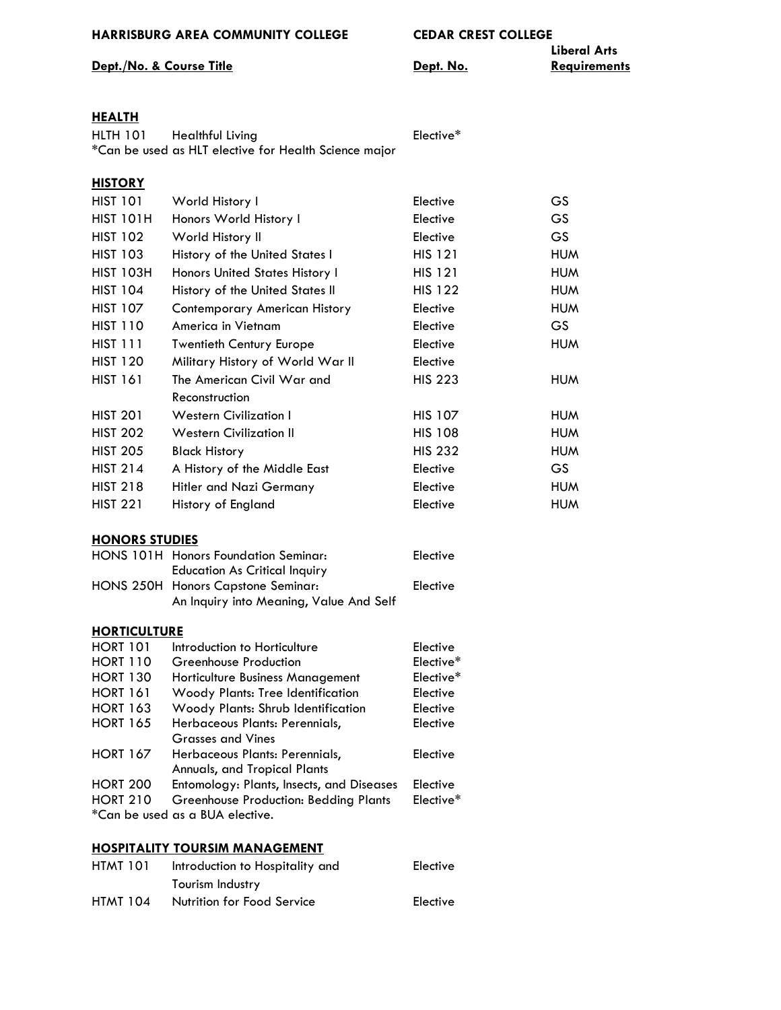### **Dept./No. & Course Title Constant Constant Constant Periodic Constant Constant Constant Periodic Constant Constant Constant Periodic Constant Constant Periodic Constant Periodic Constant Periodic Constant Periodic Const**

Elective\*

**Liberal Arts**

### **[HEALTH](http://www.hacc.edu/ProgramsandCourses/Course-Descriptions-Display.cfm)**

| <b>HLTH 101</b> | Healthful Living                                      |
|-----------------|-------------------------------------------------------|
|                 | *Can be used as HLT elective for Health Science major |

| <b>HISTORY</b>   |                                  |                |            |
|------------------|----------------------------------|----------------|------------|
| <b>HIST 101</b>  | World History I                  | Elective       | GS         |
| <b>HIST 101H</b> | Honors World History I           | Elective       | GS         |
| <b>HIST 102</b>  | World History II                 | Elective       | GS         |
| <b>HIST 103</b>  | History of the United States I   | <b>HIS 121</b> | <b>HUM</b> |
| <b>HIST 103H</b> | Honors United States History I   | <b>HIS 121</b> | <b>HUM</b> |
| <b>HIST 104</b>  | History of the United States II  | <b>HIS 122</b> | <b>HUM</b> |
| <b>HIST 107</b>  | Contemporary American History    | Elective       | <b>HUM</b> |
| <b>HIST 110</b>  | America in Vietnam               | Elective       | GS         |
| <b>HIST 111</b>  | <b>Twentieth Century Europe</b>  | Elective       | <b>HUM</b> |
| <b>HIST 120</b>  | Military History of World War II | Elective       |            |
| <b>HIST 161</b>  | The American Civil War and       | <b>HIS 223</b> | <b>HUM</b> |
|                  | Reconstruction                   |                |            |
| <b>HIST 201</b>  | <b>Western Civilization I</b>    | <b>HIS 107</b> | <b>HUM</b> |
| <b>HIST 202</b>  | <b>Western Civilization II</b>   | <b>HIS 108</b> | <b>HUM</b> |
| <b>HIST 205</b>  | <b>Black History</b>             | <b>HIS 232</b> | <b>HUM</b> |
| <b>HIST 214</b>  | A History of the Middle East     | Elective       | GS.        |
| <b>HIST 218</b>  | Hitler and Nazi Germany          | Elective       | <b>HUM</b> |
| <b>HIST 221</b>  | History of England               | Elective       | <b>HUM</b> |

#### **[HONORS STUDIES](http://www.hacc.edu/ProgramsandCourses/Course-Descriptions-Display.cfm)**

| HONS 101H Honors Foundation Seminar:    | Elective |
|-----------------------------------------|----------|
| <b>Education As Critical Inquiry</b>    |          |
| HONS 250H Honors Capstone Seminar:      | Elective |
| An Inquiry into Meaning, Value And Self |          |

### **[HORTICULTURE](http://www.hacc.edu/ProgramsandCourses/Course-Descriptions-Display.cfm)**

| <b>HORT 101</b> | Introduction to Horticulture                 | Elective  |
|-----------------|----------------------------------------------|-----------|
| <b>HORT 110</b> | Greenhouse Production                        | Elective* |
| <b>HORT 130</b> | Horticulture Business Management             | Elective* |
| <b>HORT 161</b> | Woody Plants: Tree Identification            | Elective  |
| <b>HORT 163</b> | Woody Plants: Shrub Identification           | Elective  |
| <b>HORT 165</b> | Herbaceous Plants: Perennials,               | Elective  |
|                 | <b>Grasses and Vines</b>                     |           |
| <b>HORT 167</b> | Herbaceous Plants: Perennials,               | Elective  |
|                 | Annuals, and Tropical Plants                 |           |
| <b>HORT 200</b> | Entomology: Plants, Insects, and Diseases    | Elective  |
| <b>HORT 210</b> | <b>Greenhouse Production: Bedding Plants</b> | Elective* |
|                 | *Can be used as a BUA elective.              |           |

#### **[HOSPITALITY TOURSIM MANAGEMENT](http://www.hacc.edu/ProgramsandCourses/Course-Descriptions-Display.cfm)**

| <b>HTMT 101</b> | Introduction to Hospitality and | Elective |
|-----------------|---------------------------------|----------|
|                 | Tourism Industry                |          |
| <b>HTMT 104</b> | Nutrition for Food Service      | Elective |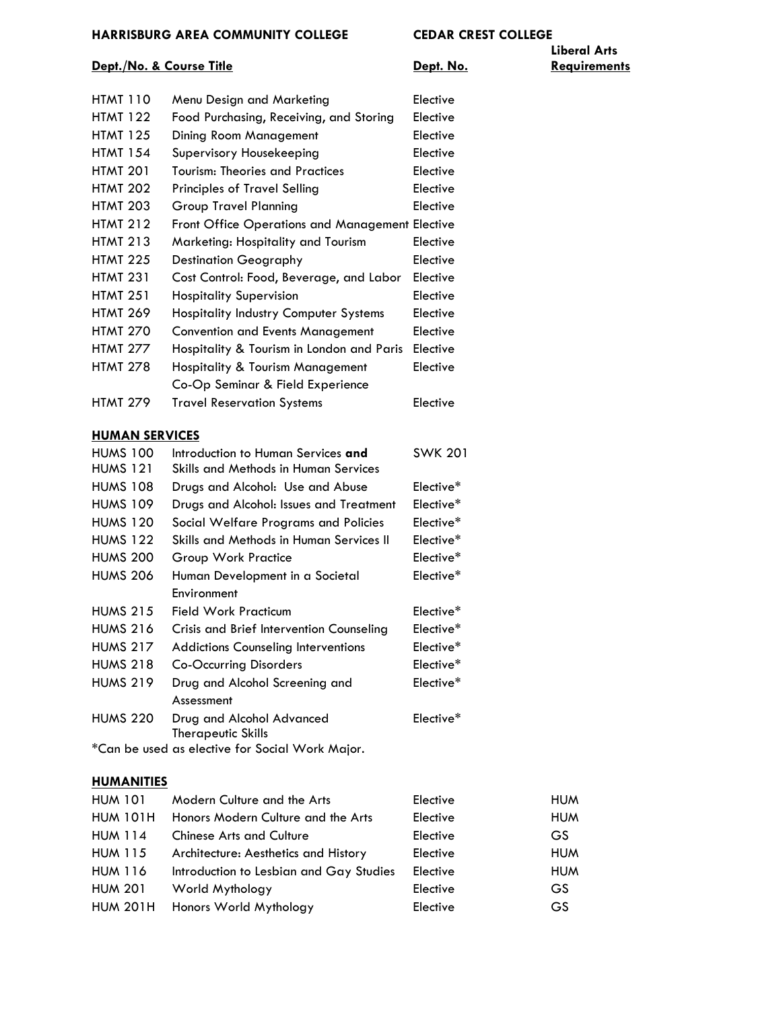# **Liberal Arts**

#### **Dept./No. & Course Title Constant Constant Constant Periodic Constant Constant Constant Periodic Constant Constant Constant Periodic Constant Constant Periodic Constant Periodic Constant Periodic Constant Periodic Const**

| HTMT 110        | Menu Design and Marketing                       | Elective        |
|-----------------|-------------------------------------------------|-----------------|
| HTMT 122        | Food Purchasing, Receiving, and Storing         | Elective        |
| HTMT 125        | Dining Room Management                          | Elective        |
| HTMT 154        | Supervisory Housekeeping                        | Elective        |
| HTMT 201        | Tourism: Theories and Practices                 | Elective        |
| <b>HTMT 202</b> | <b>Principles of Travel Selling</b>             | Elective        |
| HTMT 203        | Group Travel Planning                           | Elective        |
| HTMT 212        | Front Office Operations and Management Elective |                 |
| HTMT 213        | Marketing: Hospitality and Tourism              | Elective        |
| <b>HTMT 225</b> | <b>Destination Geography</b>                    | Elective        |
| HTMT 231        | Cost Control: Food, Beverage, and Labor         | <b>Elective</b> |
| HTMT 251        | <b>Hospitality Supervision</b>                  | Elective        |
| HTMT 269        | <b>Hospitality Industry Computer Systems</b>    | Elective        |
| <b>HTMT 270</b> | <b>Convention and Events Management</b>         | Elective        |
| HTMT 277        | Hospitality & Tourism in London and Paris       | Elective        |
| HTMT 278        | <b>Hospitality &amp; Tourism Management</b>     | Elective        |
|                 | Co-Op Seminar & Field Experience                |                 |
| HTMT 279        | <b>Travel Reservation Systems</b>               | Elective        |

### **[HUMAN SERVICES](http://www.hacc.edu/ProgramsandCourses/Course-Descriptions-Display.cfm)**

| <b>HUMS 100</b> | Introduction to Human Services and         | <b>SWK 201</b>        |
|-----------------|--------------------------------------------|-----------------------|
| <b>HUMS 121</b> | Skills and Methods in Human Services       |                       |
| <b>HUMS 108</b> | Drugs and Alcohol: Use and Abuse           | Elective*             |
| <b>HUMS 109</b> | Drugs and Alcohol: Issues and Treatment    | Elective*             |
| <b>HUMS 120</b> | Social Welfare Programs and Policies       | Elective <sup>*</sup> |
| <b>HUMS 122</b> | Skills and Methods in Human Services II    | Elective <sup>*</sup> |
| <b>HUMS 200</b> | Group Work Practice                        | Elective <sup>*</sup> |
| <b>HUMS 206</b> | Human Development in a Societal            | Elective <sup>*</sup> |
|                 | Environment                                |                       |
| <b>HUMS 215</b> | Field Work Practicum                       | Elective*             |
| <b>HUMS 216</b> | Crisis and Brief Intervention Counseling   | Elective <sup>*</sup> |
| <b>HUMS 217</b> | <b>Addictions Counseling Interventions</b> | Elective*             |
| <b>HUMS 218</b> | Co-Occurring Disorders                     | Elective <sup>*</sup> |
| <b>HUMS 219</b> | Drug and Alcohol Screening and             | Elective <sup>*</sup> |
|                 | Assessment                                 |                       |
| <b>HUMS 220</b> | Drug and Alcohol Advanced                  | Elective*             |
|                 | Therapeutic Skills                         |                       |
|                 |                                            |                       |

\*Can be used as elective for Social Work Major.

### **[HUMANITIES](http://www.hacc.edu/ProgramsandCourses/Course-Descriptions-Display.cfm)**

| <b>HUM 101</b>  | Modern Culture and the Arts             | Elective | <b>HUM</b> |
|-----------------|-----------------------------------------|----------|------------|
| <b>HUM 101H</b> | Honors Modern Culture and the Arts      | Elective | <b>HUM</b> |
| <b>HUM 114</b>  | <b>Chinese Arts and Culture</b>         | Elective | GS.        |
| <b>HUM 115</b>  | Architecture: Aesthetics and History    | Elective | <b>HUM</b> |
| <b>HUM 116</b>  | Introduction to Lesbian and Gay Studies | Elective | <b>HUM</b> |
| <b>HUM 201</b>  | World Mythology                         | Elective | GS.        |
| <b>HUM 201H</b> | Honors World Mythology                  | Elective | GS         |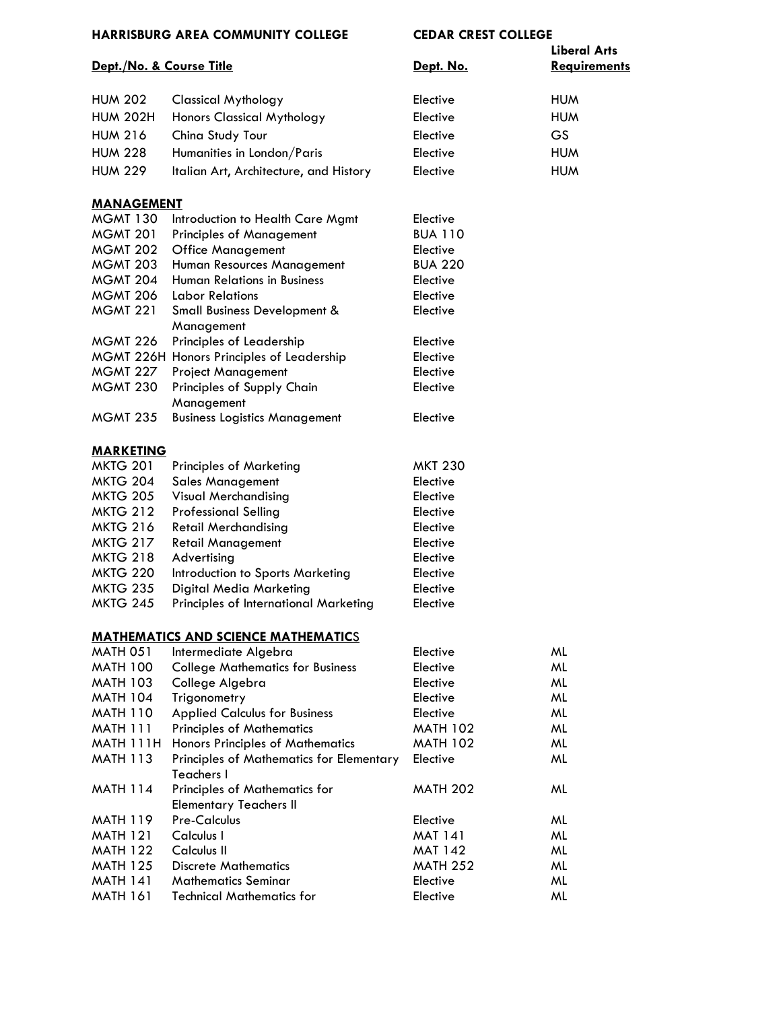| Dept./No. & Course Title |                                                                       | Dept. No.       | <b>Liberal Arts</b><br><b>Requirements</b> |
|--------------------------|-----------------------------------------------------------------------|-----------------|--------------------------------------------|
|                          |                                                                       |                 |                                            |
| <b>HUM 202</b>           | <b>Classical Mythology</b>                                            | Elective        | <b>HUM</b>                                 |
| <b>HUM 202H</b>          | <b>Honors Classical Mythology</b>                                     | Elective        | <b>HUM</b>                                 |
| <b>HUM 216</b>           | China Study Tour                                                      | Elective        | GS                                         |
| <b>HUM 228</b>           | Humanities in London/Paris                                            | Elective        | <b>HUM</b>                                 |
| <b>HUM 229</b>           | Italian Art, Architecture, and History                                | Elective        | <b>HUM</b>                                 |
| <b>MANAGEMENT</b>        |                                                                       |                 |                                            |
| <b>MGMT 130</b>          | Introduction to Health Care Mgmt                                      | Elective        |                                            |
| <b>MGMT 201</b>          | <b>Principles of Management</b>                                       | <b>BUA 110</b>  |                                            |
| <b>MGMT 202</b>          | <b>Office Management</b>                                              | Elective        |                                            |
| <b>MGMT 203</b>          | Human Resources Management                                            | <b>BUA 220</b>  |                                            |
| <b>MGMT 204</b>          | <b>Human Relations in Business</b>                                    | Elective        |                                            |
| <b>MGMT 206</b>          | <b>Labor Relations</b>                                                | Elective        |                                            |
| <b>MGMT 221</b>          | <b>Small Business Development &amp;</b><br>Management                 | Elective        |                                            |
| <b>MGMT 226</b>          | Principles of Leadership                                              | Elective        |                                            |
|                          | MGMT 226H Honors Principles of Leadership                             | Elective        |                                            |
| <b>MGMT 227</b>          | <b>Project Management</b>                                             | Elective        |                                            |
| <b>MGMT 230</b>          | Principles of Supply Chain                                            | Elective        |                                            |
|                          | Management                                                            |                 |                                            |
| <b>MGMT 235</b>          | <b>Business Logistics Management</b>                                  | Elective        |                                            |
| <b>MARKETING</b>         |                                                                       |                 |                                            |
| <b>MKTG 201</b>          | <b>Principles of Marketing</b>                                        | <b>MKT 230</b>  |                                            |
| <b>MKTG 204</b>          | <b>Sales Management</b>                                               | Elective        |                                            |
| <b>MKTG 205</b>          | <b>Visual Merchandising</b>                                           | Elective        |                                            |
| <b>MKTG 212</b>          | <b>Professional Selling</b>                                           | Elective        |                                            |
| <b>MKTG 216</b>          | <b>Retail Merchandising</b>                                           | Elective        |                                            |
| <b>MKTG 217</b>          | <b>Retail Management</b>                                              | Elective        |                                            |
| <b>MKTG 218</b>          | Advertising                                                           | Elective        |                                            |
| <b>MKTG 220</b>          | Introduction to Sports Marketing                                      | Elective        |                                            |
| <b>MKTG 235</b>          | Digital Media Marketing                                               | Elective        |                                            |
| <b>MKTG 245</b>          | Principles of International Marketing                                 | Elective        |                                            |
|                          | <b>MATHEMATICS AND SCIENCE MATHEMATICS</b>                            |                 |                                            |
| <b>MATH 051</b>          | Intermediate Algebra                                                  | Elective        | ML                                         |
| <b>MATH 100</b>          | <b>College Mathematics for Business</b>                               | Elective        | ML                                         |
| <b>MATH 103</b>          | College Algebra                                                       | Elective        | ML                                         |
| <b>MATH 104</b>          | Trigonometry                                                          | Elective        | ML                                         |
| <b>MATH 110</b>          | <b>Applied Calculus for Business</b>                                  | Elective        | ML                                         |
| <b>MATH 111</b>          | <b>Principles of Mathematics</b>                                      | <b>MATH 102</b> | ML                                         |
| MATH 111H                | Honors Principles of Mathematics                                      | <b>MATH 102</b> | ML                                         |
| <b>MATH 113</b>          | Principles of Mathematics for Elementary<br>Teachers I                | Elective        | ML                                         |
| <b>MATH 114</b>          | <b>Principles of Mathematics for</b><br><b>Elementary Teachers II</b> | <b>MATH 202</b> | ML                                         |
| <b>MATH 119</b>          | <b>Pre-Calculus</b>                                                   | Elective        | ML                                         |
| <b>MATH 121</b>          | Calculus I                                                            | <b>MAT 141</b>  | ML                                         |
| <b>MATH 122</b>          | Calculus II                                                           | <b>MAT 142</b>  | ML                                         |
| <b>MATH 125</b>          | <b>Discrete Mathematics</b>                                           | <b>MATH 252</b> | ML                                         |
| <b>MATH 141</b>          | <b>Mathematics Seminar</b>                                            | Elective        | ML                                         |
| <b>MATH 161</b>          | <b>Technical Mathematics for</b>                                      | Elective        | ML                                         |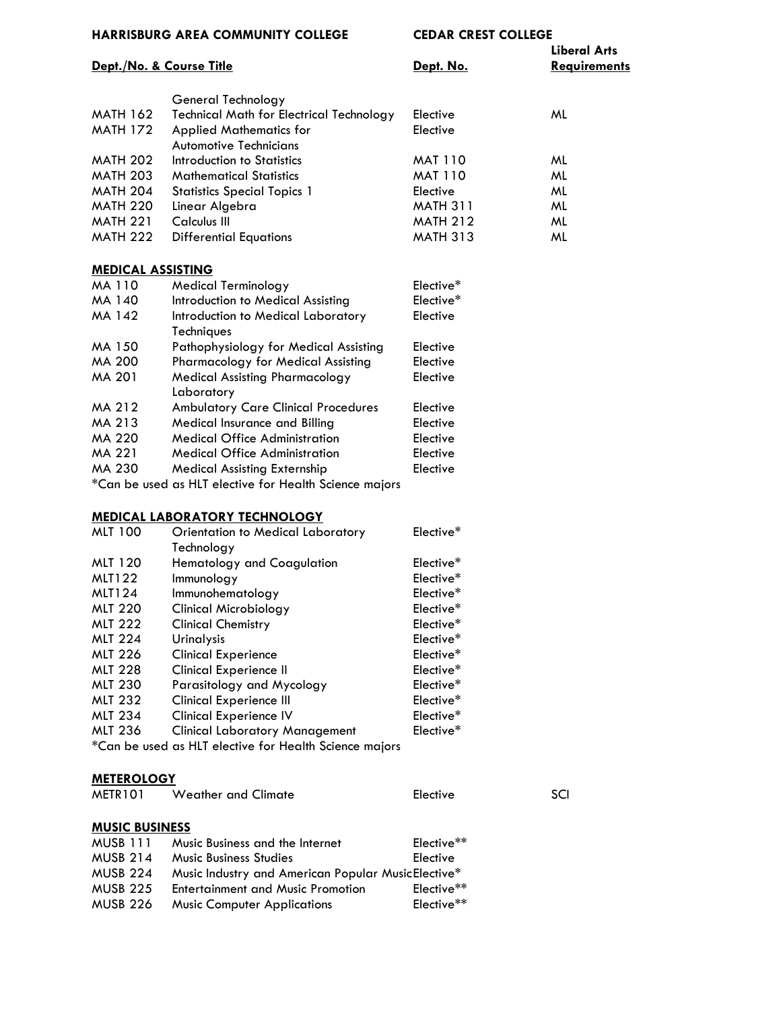| <b>HARRISBURG AREA COMMUNITY COLLEGE</b> |                                                                                                                                                                                                                                                                                                                                                                                                                                                                                            | <b>CEDAR CREST COLLEGE</b> |                     |
|------------------------------------------|--------------------------------------------------------------------------------------------------------------------------------------------------------------------------------------------------------------------------------------------------------------------------------------------------------------------------------------------------------------------------------------------------------------------------------------------------------------------------------------------|----------------------------|---------------------|
|                                          |                                                                                                                                                                                                                                                                                                                                                                                                                                                                                            |                            | <b>Liberal Arts</b> |
|                                          | Dept./No. & Course Title                                                                                                                                                                                                                                                                                                                                                                                                                                                                   | Dept. No.                  | <b>Requirements</b> |
|                                          |                                                                                                                                                                                                                                                                                                                                                                                                                                                                                            |                            |                     |
| <b>MATH 162</b>                          | General Technology                                                                                                                                                                                                                                                                                                                                                                                                                                                                         | Elective                   | ML                  |
| <b>MATH 172</b>                          | <b>Technical Math for Electrical Technology</b>                                                                                                                                                                                                                                                                                                                                                                                                                                            |                            |                     |
|                                          | <b>Applied Mathematics for</b>                                                                                                                                                                                                                                                                                                                                                                                                                                                             | Elective                   |                     |
|                                          | <b>Automotive Technicians</b>                                                                                                                                                                                                                                                                                                                                                                                                                                                              |                            |                     |
| <b>MATH 202</b>                          | Introduction to Statistics                                                                                                                                                                                                                                                                                                                                                                                                                                                                 | <b>MAT 110</b>             | ML                  |
| <b>MATH 203</b>                          | <b>Mathematical Statistics</b>                                                                                                                                                                                                                                                                                                                                                                                                                                                             | <b>MAT 110</b>             | ML                  |
| <b>MATH 204</b>                          | <b>Statistics Special Topics 1</b>                                                                                                                                                                                                                                                                                                                                                                                                                                                         | Elective                   | ML                  |
| <b>MATH 220</b>                          | Linear Algebra                                                                                                                                                                                                                                                                                                                                                                                                                                                                             | <b>MATH 311</b>            | ML                  |
| <b>MATH 221</b>                          | Calculus III                                                                                                                                                                                                                                                                                                                                                                                                                                                                               | <b>MATH 212</b>            | ML                  |
| <b>MATH 222</b>                          | <b>Differential Equations</b>                                                                                                                                                                                                                                                                                                                                                                                                                                                              | <b>MATH 313</b>            | ML                  |
| <b>MEDICAL ASSISTING</b>                 |                                                                                                                                                                                                                                                                                                                                                                                                                                                                                            |                            |                     |
| MA 110                                   | <b>Medical Terminology</b>                                                                                                                                                                                                                                                                                                                                                                                                                                                                 | Elective*                  |                     |
| MA 140                                   | Introduction to Medical Assisting                                                                                                                                                                                                                                                                                                                                                                                                                                                          | Elective*                  |                     |
| MA 142                                   | Introduction to Medical Laboratory                                                                                                                                                                                                                                                                                                                                                                                                                                                         | Elective                   |                     |
|                                          | Techniques                                                                                                                                                                                                                                                                                                                                                                                                                                                                                 |                            |                     |
| MA 150                                   | Pathophysiology for Medical Assisting                                                                                                                                                                                                                                                                                                                                                                                                                                                      | Elective                   |                     |
| <b>MA 200</b>                            | <b>Pharmacology for Medical Assisting</b>                                                                                                                                                                                                                                                                                                                                                                                                                                                  | Elective                   |                     |
| MA 201                                   | <b>Medical Assisting Pharmacology</b>                                                                                                                                                                                                                                                                                                                                                                                                                                                      | Elective                   |                     |
|                                          | Laboratory                                                                                                                                                                                                                                                                                                                                                                                                                                                                                 |                            |                     |
| MA 212                                   | <b>Ambulatory Care Clinical Procedures</b>                                                                                                                                                                                                                                                                                                                                                                                                                                                 | Elective                   |                     |
| MA 213                                   | Medical Insurance and Billing                                                                                                                                                                                                                                                                                                                                                                                                                                                              | Elective                   |                     |
| MA 220                                   | <b>Medical Office Administration</b>                                                                                                                                                                                                                                                                                                                                                                                                                                                       | Elective                   |                     |
| MA 221                                   | <b>Medical Office Administration</b>                                                                                                                                                                                                                                                                                                                                                                                                                                                       | Elective                   |                     |
| MA 230                                   | <b>Medical Assisting Externship</b>                                                                                                                                                                                                                                                                                                                                                                                                                                                        | Elective                   |                     |
| $\star$ $\sim$ $\sim$                    | $\blacksquare$ $\blacksquare$ $\blacksquare$ $\blacksquare$ $\blacksquare$ $\blacksquare$ $\blacksquare$ $\blacksquare$ $\blacksquare$ $\blacksquare$ $\blacksquare$ $\blacksquare$ $\blacksquare$ $\blacksquare$ $\blacksquare$ $\blacksquare$ $\blacksquare$ $\blacksquare$ $\blacksquare$ $\blacksquare$ $\blacksquare$ $\blacksquare$ $\blacksquare$ $\blacksquare$ $\blacksquare$ $\blacksquare$ $\blacksquare$ $\blacksquare$ $\blacksquare$ $\blacksquare$ $\blacksquare$ $\blacks$ |                            |                     |

\*Can be used as HLT elective for Health Science majors

### **MEDICAL LABORATORY TECHNOLOGY**

| <b>MLT 100</b> | <b>Orientation to Medical Laboratory</b>               | Elective* |
|----------------|--------------------------------------------------------|-----------|
|                | Technology                                             |           |
| <b>MLT 120</b> | <b>Hematology and Coagulation</b>                      | Elective* |
| <b>MLT122</b>  | Immunology                                             | Elective* |
| <b>MLT124</b>  | Immunohematology                                       | Elective* |
| <b>MLT 220</b> | <b>Clinical Microbiology</b>                           | Elective* |
| <b>MLT 222</b> | <b>Clinical Chemistry</b>                              | Elective* |
| <b>MLT 224</b> | <b>Urinalysis</b>                                      | Elective* |
| <b>MLT 226</b> | <b>Clinical Experience</b>                             | Elective* |
| <b>MLT 228</b> | <b>Clinical Experience II</b>                          | Elective* |
| <b>MLT 230</b> | Parasitology and Mycology                              | Elective* |
| <b>MLT 232</b> | <b>Clinical Experience III</b>                         | Elective* |
| <b>MLT 234</b> | <b>Clinical Experience IV</b>                          | Elective* |
| <b>MLT 236</b> | <b>Clinical Laboratory Management</b>                  | Elective* |
|                | *Can be used as HLT elective for Health Science majors |           |

## **METEROLOGY**

| METR101               | <b>Weather and Climate</b>                         | Elective               | SCI |
|-----------------------|----------------------------------------------------|------------------------|-----|
| <b>MUSIC BUSINESS</b> |                                                    |                        |     |
| MUSB 111              | Music Business and the Internet                    | Elective <sup>**</sup> |     |
| <b>MUSB 214</b>       | <b>Music Business Studies</b>                      | Elective               |     |
| <b>MUSB 224</b>       | Music Industry and American Popular MusicElective* |                        |     |
| <b>MUSB 225</b>       | <b>Entertainment and Music Promotion</b>           | Elective <sup>**</sup> |     |
| <b>MUSB 226</b>       | <b>Music Computer Applications</b>                 | Elective**             |     |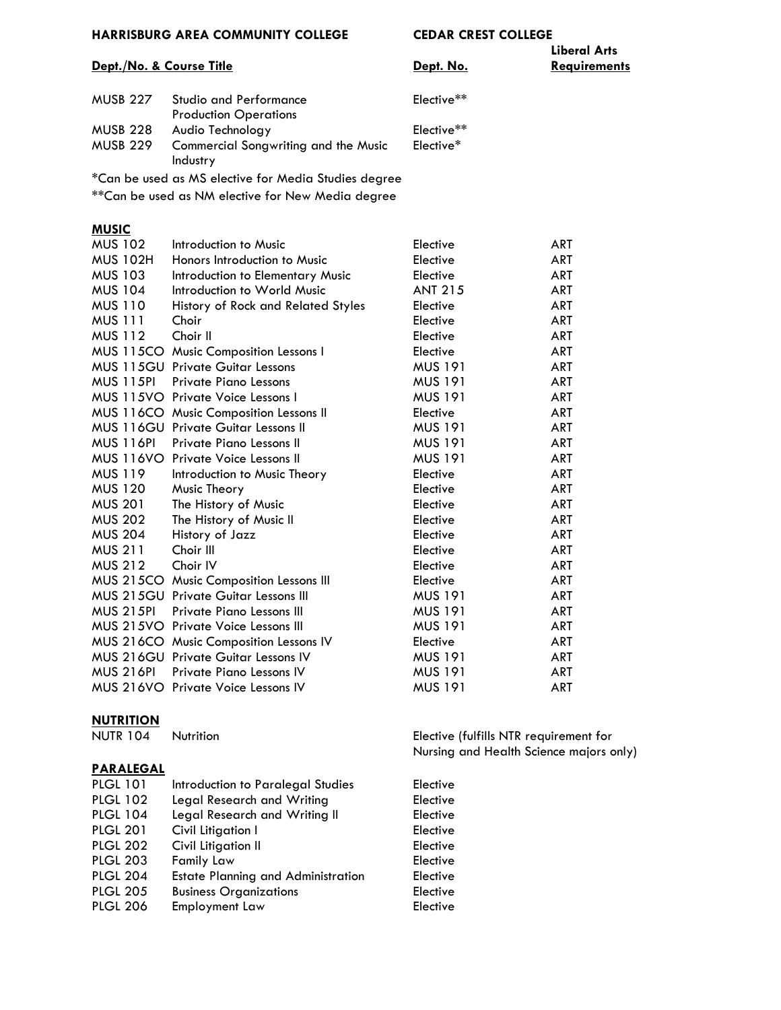# **Liberal Arts**

#### **Dept./No. & Course Title Dept. No. Requirements**

| MUSB 227 | <b>Studio and Performance</b>        | Elective** |
|----------|--------------------------------------|------------|
|          | <b>Production Operations</b>         |            |
| MUSB 228 | Audio Technology                     | Elective** |
| MUSB 229 | Commercial Songwriting and the Music | Elective*  |
|          | Industry                             |            |

\*Can be used as MS elective for Media Studies degree

\*\*Can be used as NM elective for New Media degree

#### **MUSIC**

| <b>MUS 102</b>   | Introduction to Music                       | Elective       | ART        |
|------------------|---------------------------------------------|----------------|------------|
| <b>MUS 102H</b>  | Honors Introduction to Music                | Elective       | ART        |
| <b>MUS 103</b>   | Introduction to Elementary Music            | Elective       | <b>ART</b> |
| <b>MUS 104</b>   | Introduction to World Music                 | <b>ANT 215</b> | ART        |
| <b>MUS 110</b>   | History of Rock and Related Styles          | Elective       | <b>ART</b> |
| <b>MUS 111</b>   | Choir                                       | Elective       | <b>ART</b> |
| <b>MUS 112</b>   | Choir II                                    | Elective       | <b>ART</b> |
|                  | MUS 115CO Music Composition Lessons I       | Elective       | <b>ART</b> |
|                  | <b>MUS 115GU Private Guitar Lessons</b>     | <b>MUS 191</b> | ART        |
| <b>MUS 115PI</b> | <b>Private Piano Lessons</b>                | <b>MUS 191</b> | ART        |
|                  | MUS 115VO Private Voice Lessons I           | <b>MUS 191</b> | ART        |
|                  | MUS 116CO Music Composition Lessons II      | Elective       | ART        |
|                  | MUS 116GU Private Guitar Lessons II         | <b>MUS 191</b> | <b>ART</b> |
| <b>MUS 116PI</b> | Private Piano Lessons II                    | <b>MUS 191</b> | <b>ART</b> |
|                  | MUS 116VO Private Voice Lessons II          | <b>MUS 191</b> | <b>ART</b> |
| <b>MUS 119</b>   | Introduction to Music Theory                | Elective       | ART        |
| <b>MUS 120</b>   | Music Theory                                | Elective       | <b>ART</b> |
| <b>MUS 201</b>   | The History of Music                        | Elective       | <b>ART</b> |
| <b>MUS 202</b>   | The History of Music II                     | Elective       | ART        |
| <b>MUS 204</b>   | History of Jazz                             | Elective       | ART        |
| <b>MUS 211</b>   | Choir III                                   | Elective       | <b>ART</b> |
| <b>MUS 212</b>   | Choir IV                                    | Elective       | ART        |
|                  | MUS 215CO Music Composition Lessons III     | Elective       | <b>ART</b> |
|                  | <b>MUS 215GU Private Guitar Lessons III</b> | <b>MUS 191</b> | <b>ART</b> |
| <b>MUS 215PI</b> | <b>Private Piano Lessons III</b>            | <b>MUS 191</b> | <b>ART</b> |
|                  | MUS 215VO Private Voice Lessons III         | <b>MUS 191</b> | <b>ART</b> |
|                  | MUS 216CO Music Composition Lessons IV      | Elective       | ART        |
|                  | <b>MUS 216GU Private Guitar Lessons IV</b>  | <b>MUS 191</b> | <b>ART</b> |
| <b>MUS 216PI</b> | Private Piano Lessons IV                    | MUS 191        | ART        |
|                  | MUS 216VO Private Voice Lessons IV          | MUS 191        | <b>ART</b> |

#### **NUTRITION**

#### **PARALEGAL**

| Introduction to Paralegal Studies         | Elective        |  |
|-------------------------------------------|-----------------|--|
| Legal Research and Writing                | Elective        |  |
| Legal Research and Writing II             | Elective        |  |
| Civil Litigation I                        | Elective        |  |
| Civil Litigation II                       | Elective        |  |
| Family Law                                | Elective        |  |
| <b>Estate Planning and Administration</b> | <b>Elective</b> |  |
| <b>Business Organizations</b>             | Elective        |  |
| Employment Law                            | Elective        |  |
|                                           |                 |  |

NUTR 104 Nutrition Elective (fulfills NTR requirement for Nursing and Health Science majors only)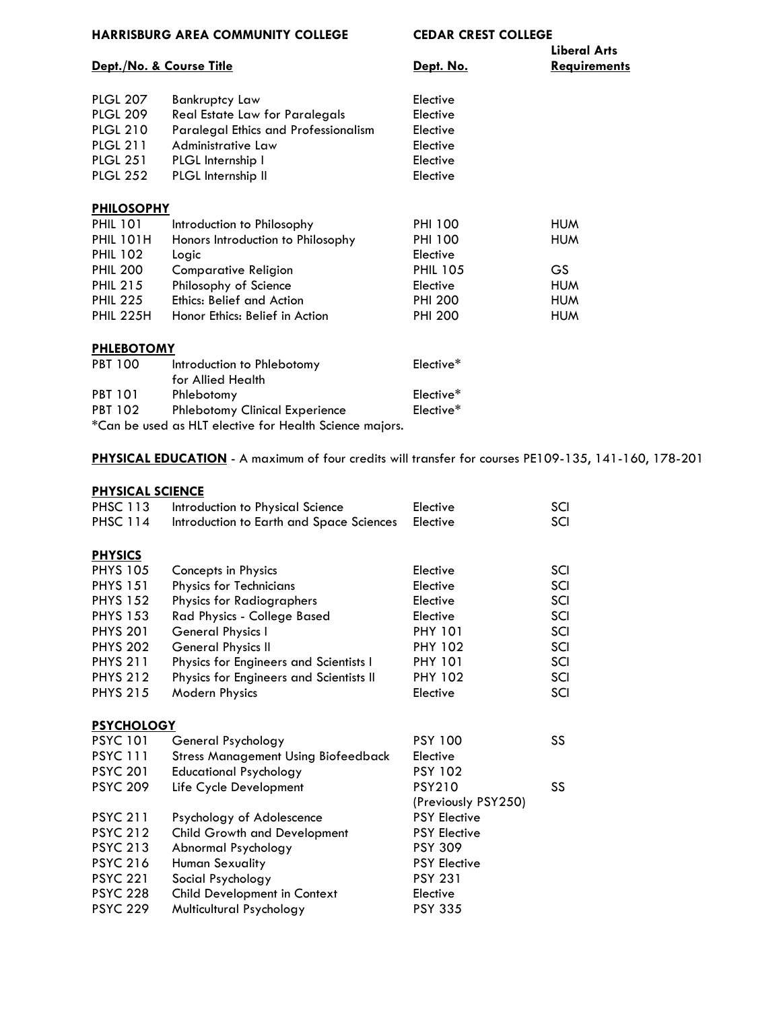|                   | Dept./No. & Course Title                        | Dept. No.       | Liberal Arts<br><b>Requirements</b> |  |
|-------------------|-------------------------------------------------|-----------------|-------------------------------------|--|
| <b>PLGL 207</b>   | Bankruptcy Law                                  | Elective        |                                     |  |
| <b>PLGL 209</b>   | Real Estate Law for Paralegals                  | Elective        |                                     |  |
| <b>PLGL 210</b>   | <b>Paralegal Ethics and Professionalism</b>     | Elective        |                                     |  |
| <b>PLGL 211</b>   | Administrative Law                              | Elective        |                                     |  |
| <b>PLGL 251</b>   | PLGL Internship I                               | Elective        |                                     |  |
| <b>PLGL 252</b>   | PLGL Internship II                              | Elective        |                                     |  |
| <b>PHILOSOPHY</b> |                                                 |                 |                                     |  |
| <b>PHIL 101</b>   | Introduction to Philosophy                      | <b>PHI 100</b>  | <b>HUM</b>                          |  |
| <b>PHIL 101H</b>  | Honors Introduction to Philosophy               | <b>PHI 100</b>  | <b>HUM</b>                          |  |
| <b>PHIL 102</b>   | Logic                                           | Elective        |                                     |  |
| <b>PHIL 200</b>   | <b>Comparative Religion</b>                     | <b>PHIL 105</b> | GS.                                 |  |
| <b>PHIL 215</b>   | Philosophy of Science                           | Elective        | <b>HUM</b>                          |  |
| <b>PHIL 225</b>   | <b>Ethics: Belief and Action</b>                | <b>PHI 200</b>  | <b>HUM</b>                          |  |
| <b>PHIL 225H</b>  | Honor Ethics: Belief in Action                  | <b>PHI 200</b>  | <b>HUM</b>                          |  |
| <b>PHLEBOTOMY</b> |                                                 |                 |                                     |  |
| <b>PBT 100</b>    | Introduction to Phlebotomy<br>for Allied Health | Elective*       |                                     |  |

PBT 101 Phlebotomy<br>
PBT 102 Phlebotomy Clinical Experience Elective\* Phlebotomy Clinical Experience

\*Can be used as HLT elective for Health Science majors.

**PHYSICAL EDUCATION** - A maximum of four credits will transfer for courses PE109-135, 141-160, 178-201

### **PHYSICAL SCIENCE**

| .                 |                                            |                     |     |  |
|-------------------|--------------------------------------------|---------------------|-----|--|
| <b>PHSC 113</b>   | Introduction to Physical Science           | Elective            | SCI |  |
| <b>PHSC 114</b>   | Introduction to Earth and Space Sciences   | Elective            | SCI |  |
|                   |                                            |                     |     |  |
| <b>PHYSICS</b>    |                                            |                     |     |  |
| <b>PHYS 105</b>   | Concepts in Physics                        | Elective            | SCI |  |
| <b>PHYS 151</b>   | <b>Physics for Technicians</b>             | Elective            | SCI |  |
| <b>PHYS 152</b>   | Physics for Radiographers                  | Elective            | SCI |  |
| <b>PHYS 153</b>   | Rad Physics - College Based                | Elective            | SCI |  |
| <b>PHYS 201</b>   | General Physics I                          | <b>PHY 101</b>      | SCI |  |
| <b>PHYS 202</b>   | General Physics II                         | <b>PHY 102</b>      | SCI |  |
| <b>PHYS 211</b>   | Physics for Engineers and Scientists I     | <b>PHY 101</b>      | SCI |  |
| <b>PHYS 212</b>   | Physics for Engineers and Scientists II    | <b>PHY 102</b>      | SCI |  |
| <b>PHYS 215</b>   | <b>Modern Physics</b>                      | Elective            | SCI |  |
|                   |                                            |                     |     |  |
| <b>PSYCHOLOGY</b> |                                            |                     |     |  |
| <b>PSYC 101</b>   | General Psychology                         | <b>PSY 100</b>      | SS  |  |
| <b>PSYC 111</b>   | <b>Stress Management Using Biofeedback</b> | Elective            |     |  |
| <b>PSYC 201</b>   | <b>Educational Psychology</b>              | <b>PSY 102</b>      |     |  |
| <b>PSYC 209</b>   | Life Cycle Development                     | <b>PSY210</b>       | SS  |  |
|                   |                                            | (Previously PSY250) |     |  |
| <b>PSYC 211</b>   | Psychology of Adolescence                  | <b>PSY Elective</b> |     |  |
| <b>PSYC 212</b>   | <b>Child Growth and Development</b>        | <b>PSY Elective</b> |     |  |
| <b>PSYC 213</b>   | Abnormal Psychology                        | <b>PSY 309</b>      |     |  |
| <b>PSYC 216</b>   | <b>Human Sexuality</b>                     | <b>PSY Elective</b> |     |  |
| <b>PSYC 221</b>   | Social Psychology                          | <b>PSY 231</b>      |     |  |
| <b>PSYC 228</b>   | Child Development in Context               | Elective            |     |  |
| <b>PSYC 229</b>   | Multicultural Psychology                   | <b>PSY 335</b>      |     |  |
|                   |                                            |                     |     |  |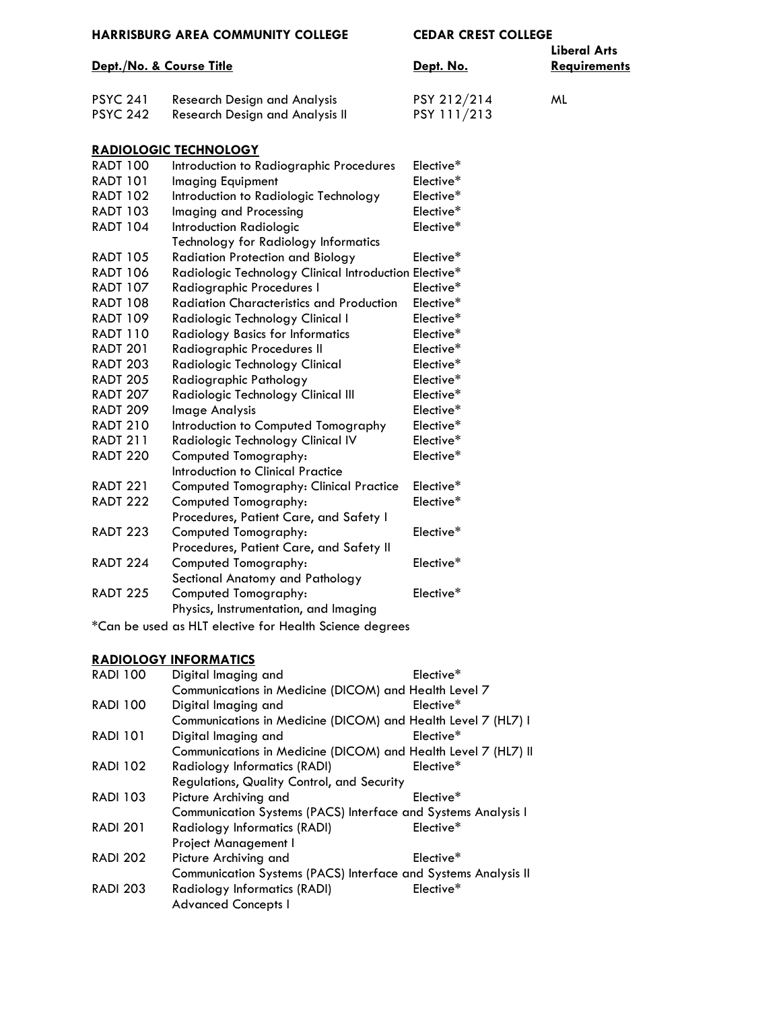| <b>HARRISBURG AREA COMMUNITY COLLEGE</b> |  |  |
|------------------------------------------|--|--|
|                                          |  |  |

|                 | Dept./No. & Course Title            | Dept. No.   | Liberal Arts<br><b>Requirements</b> |
|-----------------|-------------------------------------|-------------|-------------------------------------|
| <b>PSYC 241</b> | <b>Research Design and Analysis</b> | PSY 212/214 | ML                                  |
| <b>PSYC 242</b> | Research Design and Analysis II     | PSY 111/213 |                                     |
|                 |                                     |             |                                     |

### **RADIOLOGIC TECHNOLOGY**

| <b>RADT 100</b> | Introduction to Radiographic Procedures               | Elective* |
|-----------------|-------------------------------------------------------|-----------|
| <b>RADT 101</b> | <b>Imaging Equipment</b>                              | Elective* |
| <b>RADT 102</b> | Introduction to Radiologic Technology                 | Elective* |
| <b>RADT 103</b> | Imaging and Processing                                | Elective* |
| <b>RADT 104</b> | <b>Introduction Radiologic</b>                        | Elective* |
|                 | Technology for Radiology Informatics                  |           |
| <b>RADT 105</b> | <b>Radiation Protection and Biology</b>               | Elective* |
| <b>RADT 106</b> | Radiologic Technology Clinical Introduction Elective* |           |
| <b>RADT 107</b> | Radiographic Procedures I                             | Elective* |
| <b>RADT 108</b> | Radiation Characteristics and Production              | Elective* |
| <b>RADT 109</b> | Radiologic Technology Clinical I                      | Elective* |
| <b>RADT 110</b> | <b>Radiology Basics for Informatics</b>               | Elective* |
| <b>RADT 201</b> | Radiographic Procedures II                            | Elective* |
| <b>RADT 203</b> | Radiologic Technology Clinical                        | Elective* |
| <b>RADT 205</b> | Radiographic Pathology                                | Elective* |
| <b>RADT 207</b> | Radiologic Technology Clinical III                    | Elective* |
| <b>RADT 209</b> | Image Analysis                                        | Elective* |
| <b>RADT 210</b> | Introduction to Computed Tomography                   | Elective* |
| <b>RADT 211</b> | Radiologic Technology Clinical IV                     | Elective* |
| <b>RADT 220</b> | Computed Tomography:                                  | Elective* |
|                 | Introduction to Clinical Practice                     |           |
| <b>RADT 221</b> | Computed Tomography: Clinical Practice                | Elective* |
| <b>RADT 222</b> | Computed Tomography:                                  | Elective* |
|                 | Procedures, Patient Care, and Safety I                |           |
| <b>RADT 223</b> | Computed Tomography:                                  | Elective* |
|                 | Procedures, Patient Care, and Safety II               |           |
| <b>RADT 224</b> | Computed Tomography:                                  | Elective* |
|                 | Sectional Anatomy and Pathology                       |           |
| <b>RADT 225</b> | Computed Tomography:                                  | Elective* |
|                 | Physics, Instrumentation, and Imaging                 |           |

\*Can be used as HLT elective for Health Science degrees

## **RADIOLOGY INFORMATICS**

| <b>RADI 100</b> | Digital Imaging and                                            | Elective* |
|-----------------|----------------------------------------------------------------|-----------|
|                 | Communications in Medicine (DICOM) and Health Level 7          |           |
| <b>RADI 100</b> | Digital Imaging and                                            | Elective* |
|                 | Communications in Medicine (DICOM) and Health Level 7 (HL7) I  |           |
| <b>RADI 101</b> | Digital Imaging and                                            | Elective* |
|                 | Communications in Medicine (DICOM) and Health Level 7 (HL7) II |           |
| <b>RADI 102</b> | <b>Radiology Informatics (RADI)</b>                            | Elective* |
|                 | Regulations, Quality Control, and Security                     |           |
| <b>RADI 103</b> | Picture Archiving and                                          | Elective* |
|                 | Communication Systems (PACS) Interface and Systems Analysis I  |           |
| <b>RADI 201</b> | <b>Radiology Informatics (RADI)</b>                            | Elective* |
|                 | Project Management I                                           |           |
| <b>RADI 202</b> | Picture Archiving and                                          | Elective* |
|                 | Communication Systems (PACS) Interface and Systems Analysis II |           |
| <b>RADI 203</b> | Radiology Informatics (RADI)                                   | Elective* |
|                 | <b>Advanced Concepts I</b>                                     |           |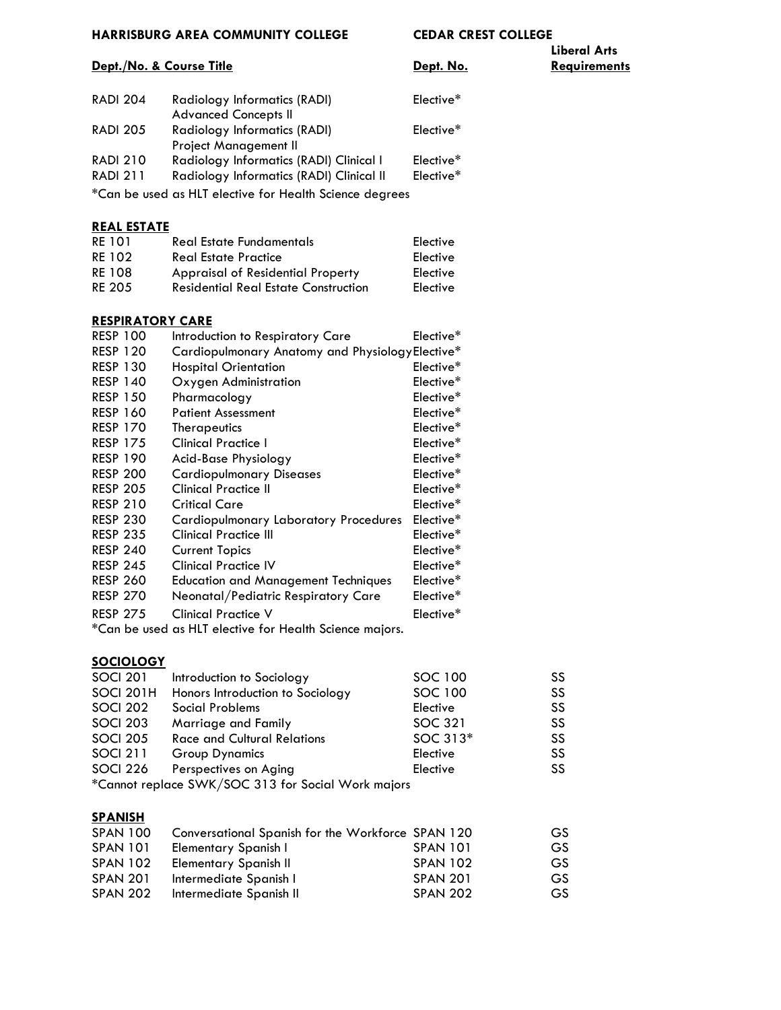**Liberal Arts**

**Dept. No. Requirements** 

| <b>RADI 204</b> | Radiology Informatics (RADI)             | Elective <sup>*</sup> |
|-----------------|------------------------------------------|-----------------------|
|                 | <b>Advanced Concepts II</b>              |                       |
| <b>RADI 205</b> | Radiology Informatics (RADI)             | Elective <sup>*</sup> |
|                 | <b>Project Management II</b>             |                       |
| <b>RADI 210</b> | Radiology Informatics (RADI) Clinical I  | Elective <sup>*</sup> |
| <b>RADI 211</b> | Radiology Informatics (RADI) Clinical II | Elective*             |
|                 |                                          |                       |

\*Can be used as HLT elective for Health Science degrees

#### **REAL ESTATE**

| RE 101        | <b>Real Estate Fundamentals</b>             | Elective |
|---------------|---------------------------------------------|----------|
| RE 102        | <b>Real Estate Practice</b>                 | Elective |
| <b>RE 108</b> | <b>Appraisal of Residential Property</b>    | Elective |
| <b>RE 205</b> | <b>Residential Real Estate Construction</b> | Elective |

#### **RESPIRATORY CARE**

| <b>RESP 100</b> | Introduction to Respiratory Care                               | Elective* |
|-----------------|----------------------------------------------------------------|-----------|
| <b>RESP 120</b> | Cardiopulmonary Anatomy and Physiology Elective*               |           |
| <b>RESP 130</b> | <b>Hospital Orientation</b>                                    | Elective* |
| <b>RESP 140</b> | Oxygen Administration                                          | Elective* |
| <b>RESP 150</b> | Pharmacology                                                   | Elective* |
| <b>RESP 160</b> | <b>Patient Assessment</b>                                      | Elective* |
| <b>RESP 170</b> | <b>Therapeutics</b>                                            | Elective* |
| <b>RESP 175</b> | <b>Clinical Practice I</b>                                     | Elective* |
| <b>RESP 190</b> | Acid-Base Physiology                                           | Elective* |
| <b>RESP 200</b> | <b>Cardiopulmonary Diseases</b>                                | Elective* |
| <b>RESP 205</b> | <b>Clinical Practice II</b>                                    | Elective* |
| <b>RESP 210</b> | <b>Critical Care</b>                                           | Elective* |
| <b>RESP 230</b> | <b>Cardiopulmonary Laboratory Procedures</b>                   | Elective* |
| <b>RESP 235</b> | <b>Clinical Practice III</b>                                   | Elective* |
| <b>RESP 240</b> | <b>Current Topics</b>                                          | Elective* |
| <b>RESP 245</b> | <b>Clinical Practice IV</b>                                    | Elective* |
| <b>RESP 260</b> | <b>Education and Management Techniques</b>                     | Elective* |
| <b>RESP 270</b> | Neonatal/Pediatric Respiratory Care                            | Elective* |
| <b>RESP 275</b> | <b>Clinical Practice V</b>                                     | Elective* |
|                 | $\mathcal{F}$ an ka waal aa ULT alaatiya fay Haalth Catanaa mi |           |

\*Can be used as HLT elective for Health Science majors.

#### **SOCIOLOGY**

| <b>SOCI 201</b> | Introduction to Sociology                          | SOC 100  | SS |
|-----------------|----------------------------------------------------|----------|----|
| SOCI 201H       | Honors Introduction to Sociology                   | SOC 100  | SS |
| <b>SOCI 202</b> | Social Problems                                    | Elective | SS |
| <b>SOCI 203</b> | Marriage and Family                                | SOC 321  | SS |
| <b>SOCI 205</b> | <b>Race and Cultural Relations</b>                 | SOC 313* | SS |
| <b>SOCI 211</b> | <b>Group Dynamics</b>                              | Elective | SS |
| <b>SOCI 226</b> | Perspectives on Aging                              | Elective | SS |
|                 | *Cannot replace SWK/SOC 313 for Social Work majors |          |    |

#### **SPANISH**

| <b>SPAN 100</b> | Conversational Spanish for the Workforce SPAN 120 |                 | GS. |
|-----------------|---------------------------------------------------|-----------------|-----|
| <b>SPAN 101</b> | Elementary Spanish I                              | <b>SPAN 101</b> | GS. |
| <b>SPAN 102</b> | <b>Elementary Spanish II</b>                      | <b>SPAN 102</b> | GS. |
| <b>SPAN 201</b> | Intermediate Spanish I                            | <b>SPAN 201</b> | GS. |
| <b>SPAN 202</b> | Intermediate Spanish II                           | <b>SPAN 202</b> | GS. |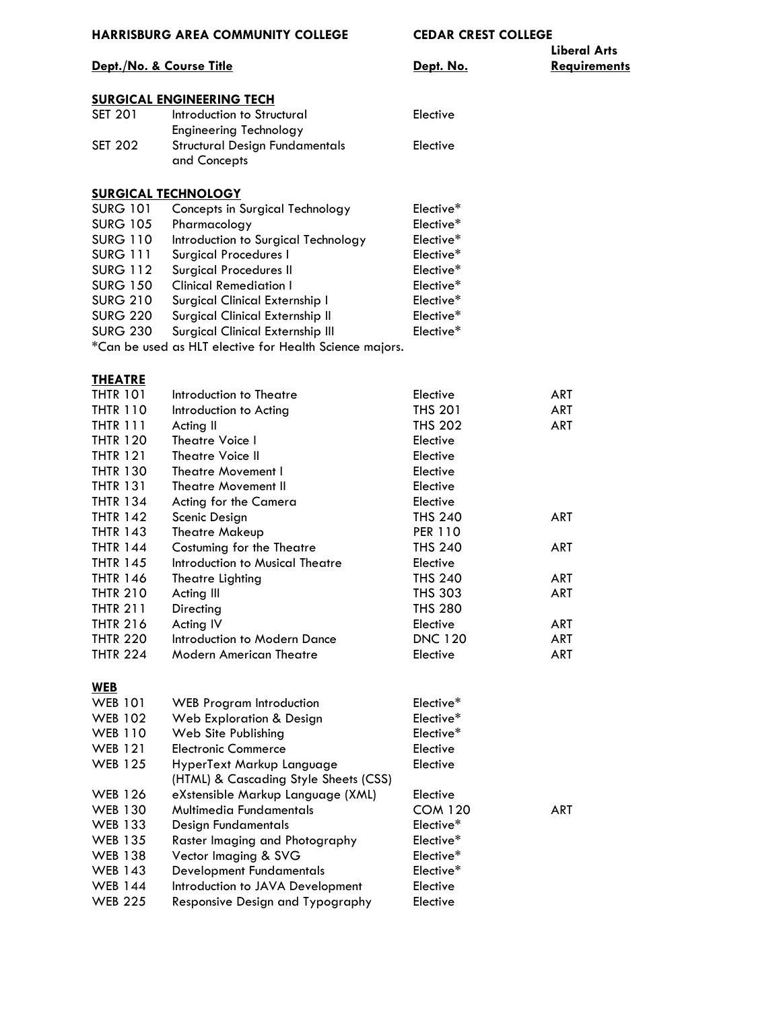# **Liberal Arts**

#### **Dept./No. & Course Title Constant Constant Constant Periodic Constant Constant Constant Periodic Constant Constant Constant Periodic Constant Constant Periodic Constant Periodic Constant Periodic Constant Periodic Const**

### **SURGICAL ENGINEERING TECH**

| SET 201        | Introduction to Structural                            | Elective |
|----------------|-------------------------------------------------------|----------|
|                | Engineering Technology                                |          |
| <b>SET 202</b> | <b>Structural Design Fundamentals</b><br>and Concepts | Elective |
|                |                                                       |          |

#### **SURGICAL TECHNOLOGY**

| <b>SURG 101</b> | Concepts in Surgical Technology                         | Elective* |
|-----------------|---------------------------------------------------------|-----------|
| <b>SURG 105</b> | Pharmacology                                            | Elective* |
| <b>SURG 110</b> | Introduction to Surgical Technology                     | Elective* |
| <b>SURG 111</b> | Surgical Procedures I                                   | Elective* |
| <b>SURG 112</b> | <b>Surgical Procedures II</b>                           | Elective* |
| <b>SURG 150</b> | <b>Clinical Remediation I</b>                           | Elective* |
| <b>SURG 210</b> | Surgical Clinical Externship I                          | Elective* |
| <b>SURG 220</b> | Surgical Clinical Externship II                         | Elective* |
| <b>SURG 230</b> | Surgical Clinical Externship III                        | Elective* |
|                 | *Can be used as HLT elective for Health Science majors. |           |

### **THEATRE**

| Introduction to Theatre         | Elective       | ART        |
|---------------------------------|----------------|------------|
| Introduction to Acting          | <b>THS 201</b> | ART        |
| Acting II                       | <b>THS 202</b> | ART        |
| Theatre Voice I                 | Elective       |            |
| Theatre Voice II                | Elective       |            |
| Theatre Movement I              | Elective       |            |
| Theatre Movement II             | Elective       |            |
| Acting for the Camera           | Elective       |            |
| Scenic Design                   | <b>THS 240</b> | <b>ART</b> |
| Theatre Makeup                  | <b>PER 110</b> |            |
| Costuming for the Theatre       | <b>THS 240</b> | ART        |
| Introduction to Musical Theatre | Elective       |            |
| Theatre Lighting                | <b>THS 240</b> | ART        |
| Acting III                      | <b>THS 303</b> | ART        |
| Directing                       | <b>THS 280</b> |            |
| Acting IV                       | Elective       | ART        |
| Introduction to Modern Dance    | <b>DNC 120</b> | ART        |
| <b>Modern American Theatre</b>  | Elective       | ART        |
|                                 |                |            |

### **WEB**

| <b>WEB 101</b> | <b>WEB Program Introduction</b>       | Elective*             |            |
|----------------|---------------------------------------|-----------------------|------------|
| <b>WEB 102</b> | Web Exploration & Design              | Elective*             |            |
| <b>WEB 110</b> | Web Site Publishing                   | Elective*             |            |
| <b>WEB 121</b> | <b>Electronic Commerce</b>            | Elective              |            |
| <b>WEB 125</b> | HyperText Markup Language             | Elective              |            |
|                | (HTML) & Cascading Style Sheets (CSS) |                       |            |
| <b>WEB 126</b> | eXstensible Markup Language (XML)     | Elective              |            |
| <b>WEB 130</b> | Multimedia Fundamentals               | <b>COM 120</b>        | <b>ART</b> |
| <b>WEB 133</b> | Design Fundamentals                   | Elective <sup>*</sup> |            |
| <b>WEB 135</b> | Raster Imaging and Photography        | Elective <sup>*</sup> |            |
| <b>WEB 138</b> | Vector Imaging & SVG                  | Elective*             |            |
| <b>WEB 143</b> | <b>Development Fundamentals</b>       | Elective*             |            |
| <b>WEB 144</b> | Introduction to JAVA Development      | Elective              |            |
| <b>WEB 225</b> | Responsive Design and Typography      | Elective              |            |
|                |                                       |                       |            |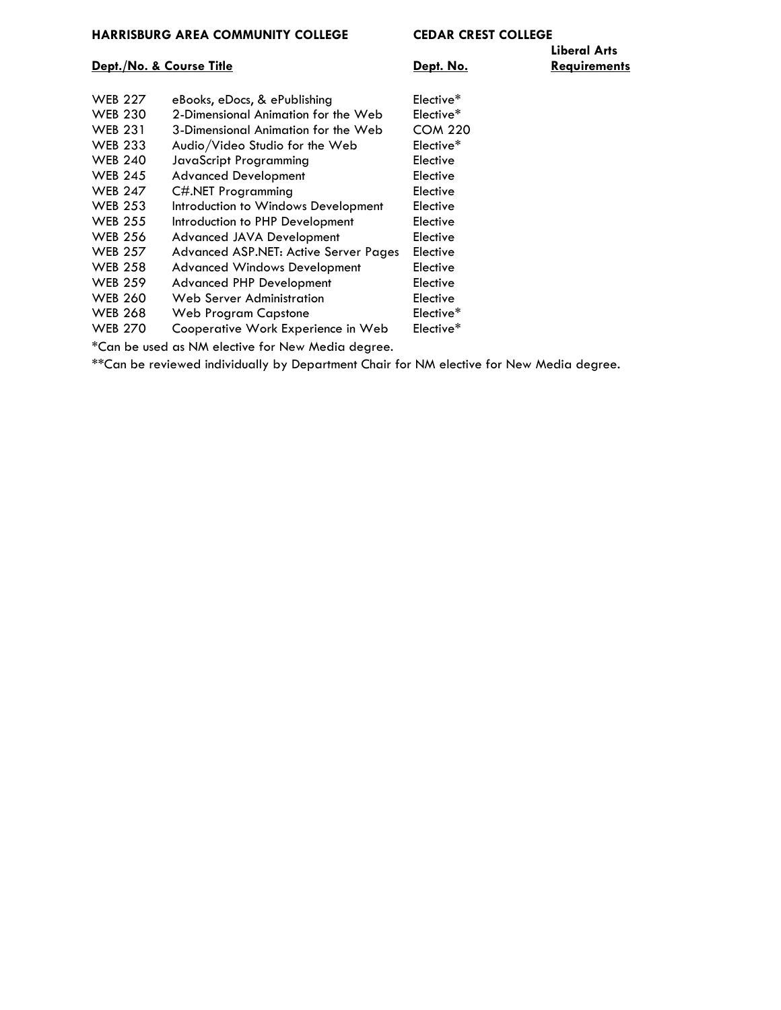### **Dept./No. & Course Title Constant Constant Constant Periodic Constant Constant Constant Periodic Constant Constant Constant Periodic Constant Periodic Constant Periodic Constant Periodic Constant Periodic Constant Perio**

| <b>WEB 227</b> | eBooks, eDocs, & ePublishing          | Elective*      |
|----------------|---------------------------------------|----------------|
| <b>WEB 230</b> | 2-Dimensional Animation for the Web   | Elective*      |
| <b>WEB 231</b> | 3-Dimensional Animation for the Web   | <b>COM 220</b> |
| <b>WEB 233</b> | Audio/Video Studio for the Web        | Elective*      |
| <b>WEB 240</b> | <b>JavaScript Programming</b>         | Elective       |
| <b>WEB 245</b> | <b>Advanced Development</b>           | Elective       |
| <b>WEB 247</b> | C#.NET Programming                    | Elective       |
| <b>WEB 253</b> | Introduction to Windows Development   | Elective       |
| <b>WEB 255</b> | Introduction to PHP Development       | Elective       |
| <b>WEB 256</b> | Advanced JAVA Development             | Elective       |
| <b>WEB 257</b> | Advanced ASP.NET: Active Server Pages | Elective       |
| <b>WEB 258</b> | <b>Advanced Windows Development</b>   | Elective       |
| <b>WEB 259</b> | <b>Advanced PHP Development</b>       | Elective       |
| <b>WEB 260</b> | Web Server Administration             | Elective       |
| <b>WEB 268</b> | <b>Web Program Capstone</b>           | Elective*      |
| <b>WEB 270</b> | Cooperative Work Experience in Web    | Elective*      |
|                |                                       |                |

\*Can be used as NM elective for New Media degree.

\*\*Can be reviewed individually by Department Chair for NM elective for New Media degree.